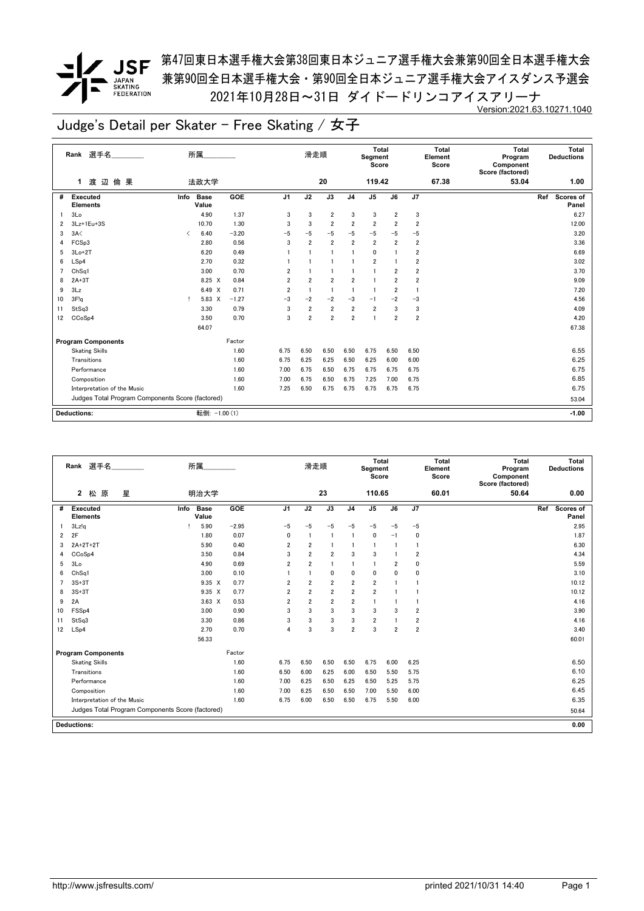*▼* JSF <sup>第47回東日本選手権大会第38回東日本ジュニア選手権大会兼第90回全日本選手権大会</sup> 兼第90回全日本選手権大会・第90回全日本ジュニア選手権大会アイスダンス予選会 2021年10月28日~31日 ダイドードリンコアイスアリーナ Version:2021.63.10271.1040

|    | Rank 選手名                                         |      | 所属                   |         |                | 滑走順            |                |                | Total<br>Segment<br>Score |                         |                         | <b>Total</b><br>Element<br>Score | <b>Total</b><br>Program<br>Component<br>Score (factored) | Total<br><b>Deductions</b> |
|----|--------------------------------------------------|------|----------------------|---------|----------------|----------------|----------------|----------------|---------------------------|-------------------------|-------------------------|----------------------------------|----------------------------------------------------------|----------------------------|
|    | 渡 辺<br>倫 果<br>1                                  |      | 法政大学                 |         |                |                | 20             |                | 119.42                    |                         |                         | 67.38                            | 53.04                                                    | 1.00                       |
| #  | <b>Executed</b><br><b>Elements</b>               | Info | <b>Base</b><br>Value | GOE     | J <sub>1</sub> | J2             | J3             | J <sub>4</sub> | J5                        | J6                      | J7                      |                                  |                                                          | Scores of<br>Ref<br>Panel  |
|    | 3 <sub>Lo</sub>                                  |      | 4.90                 | 1.37    | 3              | 3              | $\overline{2}$ | 3              | 3                         | 2                       | 3                       |                                  |                                                          | 6.27                       |
| 2  | 3Lz+1Eu+3S                                       |      | 10.70                | 1.30    | 3              | 3              | $\overline{2}$ | $\overline{2}$ | $\overline{\mathbf{2}}$   | $\overline{2}$          | $\overline{\mathbf{2}}$ |                                  |                                                          | 12.00                      |
| 3  | 3A<                                              | ≺    | 6.40                 | $-3.20$ | $-5$           | $-5$           | $-5$           | $-5$           | $-5$                      | $-5$                    | $-5$                    |                                  |                                                          | 3.20                       |
| 4  | FCSp3                                            |      | 2.80                 | 0.56    | 3              | $\overline{2}$ | $\overline{2}$ | $\overline{2}$ | $\overline{2}$            | $\overline{\mathbf{2}}$ | $\overline{2}$          |                                  |                                                          | 3.36                       |
| 5  | $3Lo+2T$                                         |      | 6.20                 | 0.49    |                | $\mathbf{1}$   | $\overline{1}$ | 1              | 0                         |                         | $\overline{2}$          |                                  |                                                          | 6.69                       |
| 6  | LSp4                                             |      | 2.70                 | 0.32    |                | $\mathbf{1}$   |                | $\mathbf{1}$   | 2                         |                         | $\overline{2}$          |                                  |                                                          | 3.02                       |
|    | Ch <sub>Sq1</sub>                                |      | 3.00                 | 0.70    | $\overline{2}$ | $\mathbf{1}$   | $\overline{1}$ | $\mathbf{1}$   | 1                         | $\overline{2}$          | $\overline{2}$          |                                  |                                                          | 3.70                       |
| 8  | $2A+3T$                                          |      | 8.25 X               | 0.84    | $\overline{2}$ | $\overline{2}$ | $\overline{2}$ | $\overline{2}$ | f                         | $\overline{2}$          | $\overline{2}$          |                                  |                                                          | 9.09                       |
| 9  | 3Lz                                              |      | 6.49 X               | 0.71    | $\overline{2}$ | $\overline{1}$ | $\overline{1}$ | $\mathbf{1}$   | $\mathbf{1}$              | $\overline{2}$          | 1                       |                                  |                                                          | 7.20                       |
| 10 | 3F!q                                             |      | 5.83 X               | $-1.27$ | $-3$           | $-2$           | $-2$           | $-3$           | $-1$                      | $-2$                    | $-3$                    |                                  |                                                          | 4.56                       |
| 11 | StSq3                                            |      | 3.30                 | 0.79    | 3              | $\overline{2}$ | $\overline{2}$ | $\overline{2}$ | $\overline{2}$            | 3                       | 3                       |                                  |                                                          | 4.09                       |
| 12 | CCoSp4                                           |      | 3.50                 | 0.70    | 3              | $\overline{2}$ | $\overline{2}$ | $\overline{2}$ | 1                         | $\overline{\mathbf{2}}$ | $\overline{\mathbf{2}}$ |                                  |                                                          | 4.20                       |
|    |                                                  |      | 64.07                |         |                |                |                |                |                           |                         |                         |                                  |                                                          | 67.38                      |
|    | <b>Program Components</b>                        |      |                      | Factor  |                |                |                |                |                           |                         |                         |                                  |                                                          |                            |
|    | <b>Skating Skills</b>                            |      |                      | 1.60    | 6.75           | 6.50           | 6.50           | 6.50           | 6.75                      | 6.50                    | 6.50                    |                                  |                                                          | 6.55                       |
|    | Transitions                                      |      |                      | 1.60    | 6.75           | 6.25           | 6.25           | 6.50           | 6.25                      | 6.00                    | 6.00                    |                                  |                                                          | 6.25                       |
|    | Performance                                      |      |                      | 1.60    | 7.00           | 6.75           | 6.50           | 6.75           | 6.75                      | 6.75                    | 6.75                    |                                  |                                                          | 6.75                       |
|    | Composition                                      |      |                      | 1.60    | 7.00           | 6.75           | 6.50           | 6.75           | 7.25                      | 7.00                    | 6.75                    |                                  |                                                          | 6.85                       |
|    | Interpretation of the Music                      |      |                      | 1.60    | 7.25           | 6.50           | 6.75           | 6.75           | 6.75                      | 6.75                    | 6.75                    |                                  |                                                          | 6.75                       |
|    | Judges Total Program Components Score (factored) |      |                      |         |                |                |                |                |                           |                         |                         |                                  |                                                          | 53.04                      |
|    | <b>Deductions:</b>                               |      | 転倒: -1.00 (1)        |         |                |                |                |                |                           |                         |                         |                                  |                                                          | $-1.00$                    |

|                | 選手名<br>Rank                                      | 所属                           |         |                | 滑走順            |                |                | <b>Total</b><br>Segment<br>Score |                |                         | <b>Total</b><br>Element<br>Score | Total<br>Program<br>Component<br>Score (factored) | Total<br><b>Deductions</b>       |
|----------------|--------------------------------------------------|------------------------------|---------|----------------|----------------|----------------|----------------|----------------------------------|----------------|-------------------------|----------------------------------|---------------------------------------------------|----------------------------------|
|                | $\mathbf{2}$<br>松 原<br>星                         | 明治大学                         |         |                |                | 23             |                | 110.65                           |                |                         | 60.01                            | 50.64                                             | 0.00                             |
| #              | <b>Executed</b><br><b>Elements</b>               | Info<br><b>Base</b><br>Value | GOE     | J <sub>1</sub> | J2             | J3             | J <sub>4</sub> | J <sub>5</sub>                   | J6             | J7                      |                                  |                                                   | <b>Scores of</b><br>Ref<br>Panel |
|                | 3Lz!q                                            | 5.90                         | $-2.95$ | $-5$           | $-5$           | $-5$           | $-5$           | $-5$                             | $-5$           | $-5$                    |                                  |                                                   | 2.95                             |
| $\overline{2}$ | 2F                                               | 1.80                         | 0.07    | 0              | 1              | -1             |                | 0                                | $-1$           | 0                       |                                  |                                                   | 1.87                             |
| 3              | 2A+2T+2T                                         | 5.90                         | 0.40    | 2              | $\overline{2}$ | -1             |                | $\overline{1}$                   | $\overline{1}$ | $\overline{1}$          |                                  |                                                   | 6.30                             |
| 4              | CCoSp4                                           | 3.50                         | 0.84    | 3              | $\overline{2}$ | $\overline{2}$ | 3              | 3                                |                | $\overline{2}$          |                                  |                                                   | 4.34                             |
| 5              | 3Lo                                              | 4.90                         | 0.69    | 2              | $\overline{2}$ | $\mathbf{1}$   |                | $\mathbf{1}$                     | $\overline{2}$ | 0                       |                                  |                                                   | 5.59                             |
| 6              | ChSq1                                            | 3.00                         | 0.10    | 1              |                | 0              | 0              | $\mathbf 0$                      | $\mathbf 0$    | 0                       |                                  |                                                   | 3.10                             |
| $\overline{7}$ | $3S+3T$                                          | $9.35 \times$                | 0.77    | 2              | $\overline{2}$ | $\overline{2}$ | $\overline{2}$ | $\overline{2}$                   |                |                         |                                  |                                                   | 10.12                            |
| 8              | $3S+3T$                                          | $9.35 \times$                | 0.77    | $\overline{2}$ | $\overline{2}$ | $\overline{2}$ | $\overline{2}$ | $\overline{2}$                   |                |                         |                                  |                                                   | 10.12                            |
| 9              | 2A                                               | $3.63 \times$                | 0.53    | 2              | 2              | $\overline{2}$ | $\overline{2}$ | $\mathbf{1}$                     |                |                         |                                  |                                                   | 4.16                             |
| 10             | FSS <sub>p4</sub>                                | 3.00                         | 0.90    | 3              | 3              | 3              | 3              | 3                                | 3              | $\overline{\mathbf{2}}$ |                                  |                                                   | 3.90                             |
| 11             | StSq3                                            | 3.30                         | 0.86    | 3              | 3              | 3              | 3              | $\overline{2}$                   |                | $\overline{2}$          |                                  |                                                   | 4.16                             |
| 12             | LSp4                                             | 2.70                         | 0.70    | 4              | 3              | 3              | $\overline{2}$ | 3                                | $\overline{2}$ | $\overline{2}$          |                                  |                                                   | 3.40                             |
|                |                                                  | 56.33                        |         |                |                |                |                |                                  |                |                         |                                  |                                                   | 60.01                            |
|                | <b>Program Components</b>                        |                              | Factor  |                |                |                |                |                                  |                |                         |                                  |                                                   |                                  |
|                | <b>Skating Skills</b>                            |                              | 1.60    | 6.75           | 6.50           | 6.50           | 6.50           | 6.75                             | 6.00           | 6.25                    |                                  |                                                   | 6.50                             |
|                | Transitions                                      |                              | 1.60    | 6.50           | 6.00           | 6.25           | 6.00           | 6.50                             | 5.50           | 5.75                    |                                  |                                                   | 6.10                             |
|                | Performance                                      |                              | 1.60    | 7.00           | 6.25           | 6.50           | 6.25           | 6.50                             | 5.25           | 5.75                    |                                  |                                                   | 6.25                             |
|                | Composition                                      |                              | 1.60    | 7.00           | 6.25           | 6.50           | 6.50           | 7.00                             | 5.50           | 6.00                    |                                  |                                                   | 6.45                             |
|                | Interpretation of the Music                      |                              | 1.60    | 6.75           | 6.00           | 6.50           | 6.50           | 6.75                             | 5.50           | 6.00                    |                                  |                                                   | 6.35                             |
|                | Judges Total Program Components Score (factored) |                              |         |                |                |                |                |                                  |                |                         |                                  |                                                   | 50.64                            |
|                | <b>Deductions:</b>                               |                              |         |                |                |                |                |                                  |                |                         |                                  |                                                   | 0.00                             |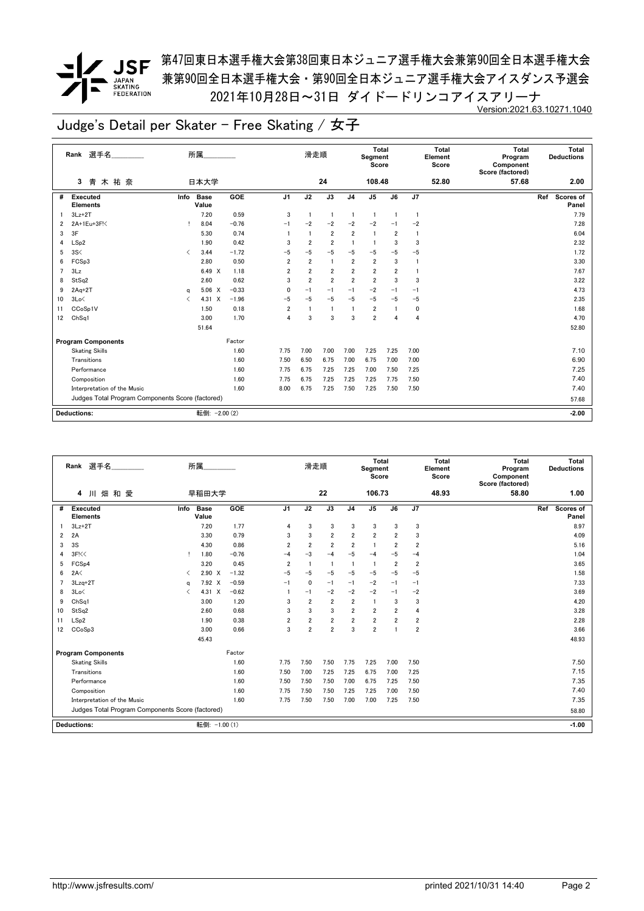*▼* JSF <sup>第47回東日本選手権大会第38回東日本ジュニア選手権大会兼第90回全日本選手権大会</sup> 兼第90回全日本選手権大会・第90回全日本ジュニア選手権大会アイスダンス予選会 2021年10月28日~31日 ダイドードリンコアイスアリーナ Version:2021.63.10271.1040

|    | Rank 選手名                                         |                                          | 所属                   |         |                | 滑走順            |                |                | Total<br>Segment<br>Score |                |                | <b>Total</b><br>Element<br>Score | <b>Total</b><br>Program<br>Component<br>Score (factored) | Total<br><b>Deductions</b> |
|----|--------------------------------------------------|------------------------------------------|----------------------|---------|----------------|----------------|----------------|----------------|---------------------------|----------------|----------------|----------------------------------|----------------------------------------------------------|----------------------------|
|    | 青木祐奈<br>3                                        |                                          | 日本大学                 |         |                |                | 24             |                | 108.48                    |                |                | 52.80                            | 57.68                                                    | 2.00                       |
| #  | Executed<br><b>Elements</b>                      | Info                                     | <b>Base</b><br>Value | GOE     | J <sub>1</sub> | J2             | J3             | J <sub>4</sub> | J <sub>5</sub>            | J6             | J7             |                                  |                                                          | Ref<br>Scores of<br>Panel  |
|    | $3Lz + 2T$                                       |                                          | 7.20                 | 0.59    | 3              | $\overline{1}$ | $\mathbf{1}$   | 1              | $\overline{1}$            | $\mathbf{1}$   | $\mathbf{1}$   |                                  |                                                          | 7.79                       |
| 2  | 2A+1Eu+3F!<                                      |                                          | 8.04                 | $-0.76$ | $-1$           | $-2$           | $-2$           | $-2$           | $-2$                      | $-1$           | $-2$           |                                  |                                                          | 7.28                       |
| 3  | 3F                                               |                                          | 5.30                 | 0.74    |                | $\overline{1}$ | $\overline{2}$ | $\overline{2}$ | $\overline{1}$            | $\overline{2}$ | $\overline{1}$ |                                  |                                                          | 6.04                       |
| 4  | LSp2                                             |                                          | 1.90                 | 0.42    | 3              | $\overline{2}$ | $\overline{2}$ | $\overline{1}$ | $\overline{1}$            | 3              | 3              |                                  |                                                          | 2.32                       |
| 5  | 3S<                                              | $\overline{\left\langle \right\rangle }$ | 3.44                 | $-1.72$ | $-5$           | $-5$           | $-5$           | $-5$           | $-5$                      | $-5$           | $-5$           |                                  |                                                          | 1.72                       |
| 6  | FCSp3                                            |                                          | 2.80                 | 0.50    | $\overline{2}$ | $\overline{2}$ | $\mathbf{1}$   | $\overline{2}$ | $\overline{\mathbf{2}}$   | 3              |                |                                  |                                                          | 3.30                       |
| 7  | 3Lz                                              |                                          | 6.49 X               | 1.18    | $\overline{2}$ | $\overline{2}$ | $\overline{2}$ | $\overline{2}$ | $\overline{\mathbf{2}}$   | $\overline{2}$ |                |                                  |                                                          | 7.67                       |
| 8  | StSq2                                            |                                          | 2.60                 | 0.62    | 3              | $\overline{2}$ | $\overline{2}$ | $\overline{2}$ | $\overline{2}$            | 3              | 3              |                                  |                                                          | 3.22                       |
| 9  | $2Aq+2T$                                         | q                                        | $5.06 \t X$          | $-0.33$ | $\mathbf{0}$   | $-1$           | $-1$           | $-1$           | $-2$                      | $-1$           | $-1$           |                                  |                                                          | 4.73                       |
| 10 | 3Lo<                                             | ✓                                        | 4.31 X               | $-1.96$ | $-5$           | $-5$           | $-5$           | $-5$           | $-5$                      | $-5$           | $-5$           |                                  |                                                          | 2.35                       |
| 11 | CCoSp1V                                          |                                          | 1.50                 | 0.18    | $\overline{2}$ | $\mathbf{1}$   | $\mathbf{1}$   | 1              | $\overline{2}$            |                | 0              |                                  |                                                          | 1.68                       |
| 12 | Ch <sub>Sq1</sub>                                |                                          | 3.00                 | 1.70    | $\overline{4}$ | 3              | 3              | 3              | $\overline{\mathbf{2}}$   | $\overline{4}$ | 4              |                                  |                                                          | 4.70                       |
|    |                                                  |                                          | 51.64                |         |                |                |                |                |                           |                |                |                                  |                                                          | 52.80                      |
|    | <b>Program Components</b>                        |                                          |                      | Factor  |                |                |                |                |                           |                |                |                                  |                                                          |                            |
|    | <b>Skating Skills</b>                            |                                          |                      | 1.60    | 7.75           | 7.00           | 7.00           | 7.00           | 7.25                      | 7.25           | 7.00           |                                  |                                                          | 7.10                       |
|    | Transitions                                      |                                          |                      | 1.60    | 7.50           | 6.50           | 6.75           | 7.00           | 6.75                      | 7.00           | 7.00           |                                  |                                                          | 6.90                       |
|    | Performance                                      |                                          |                      | 1.60    | 7.75           | 6.75           | 7.25           | 7.25           | 7.00                      | 7.50           | 7.25           |                                  |                                                          | 7.25                       |
|    | Composition                                      |                                          |                      | 1.60    | 7.75           | 6.75           | 7.25           | 7.25           | 7.25                      | 7.75           | 7.50           |                                  |                                                          | 7.40                       |
|    | Interpretation of the Music                      |                                          |                      | 1.60    | 8.00           | 6.75           | 7.25           | 7.50           | 7.25                      | 7.50           | 7.50           |                                  |                                                          | 7.40                       |
|    | Judges Total Program Components Score (factored) |                                          |                      |         |                |                |                |                |                           |                |                |                                  |                                                          | 57.68                      |
|    |                                                  |                                          |                      |         |                |                |                |                |                           |                |                |                                  |                                                          |                            |
|    | <b>Deductions:</b>                               |                                          | 転倒: - 2.00 (2)       |         |                |                |                |                |                           |                |                |                                  |                                                          | $-2.00$                    |

|                | 選手名<br>Rank                                      |      | 所属                   |         |                | 滑走順            |                |                | <b>Total</b><br>Segment<br>Score |                |                         | <b>Total</b><br>Element<br>Score | <b>Total</b><br>Program<br>Component<br>Score (factored) | Total<br><b>Deductions</b>       |
|----------------|--------------------------------------------------|------|----------------------|---------|----------------|----------------|----------------|----------------|----------------------------------|----------------|-------------------------|----------------------------------|----------------------------------------------------------|----------------------------------|
|                | 川畑和愛<br>4                                        |      | 早稲田大学                |         |                |                | 22             |                | 106.73                           |                |                         | 48.93                            | 58.80                                                    | 1.00                             |
| #              | Executed<br><b>Elements</b>                      | Info | <b>Base</b><br>Value | GOE     | J <sub>1</sub> | J2             | J3             | J <sub>4</sub> | J <sub>5</sub>                   | J6             | J7                      |                                  |                                                          | <b>Scores of</b><br>Ref<br>Panel |
|                | $3Lz + 2T$                                       |      | 7.20                 | 1.77    | 4              | 3              | 3              | 3              | 3                                | 3              | 3                       |                                  |                                                          | 8.97                             |
| $\overline{2}$ | 2A                                               |      | 3.30                 | 0.79    | 3              | 3              | $\overline{2}$ | $\overline{2}$ | $\overline{2}$                   | $\overline{2}$ | 3                       |                                  |                                                          | 4.09                             |
| 3              | 3S                                               |      | 4.30                 | 0.86    | $\overline{2}$ | $\overline{2}$ | $\overline{2}$ | $\overline{2}$ | $\overline{1}$                   | $\overline{2}$ | $\overline{2}$          |                                  |                                                          | 5.16                             |
| 4              | 3F<                                              | т    | 1.80                 | $-0.76$ | $-4$           | $-3$           | $-4$           | $-5$           | $-4$                             | $-5$           | $-4$                    |                                  |                                                          | 1.04                             |
| 5              | FCS <sub>p4</sub>                                |      | 3.20                 | 0.45    | $\overline{2}$ |                | $\blacksquare$ | $\overline{1}$ | $\overline{1}$                   | $\overline{2}$ | $\overline{2}$          |                                  |                                                          | 3.65                             |
| 6              | 2A<                                              | ≺    | $2.90 \times$        | $-1.32$ | $-5$           | $-5$           | $-5$           | $-5$           | $-5$                             | $-5$           | $-5$                    |                                  |                                                          | 1.58                             |
|                | 3Lzq+2T                                          | a    | 7.92 X               | $-0.59$ | $-1$           | $\mathbf{0}$   | $-1$           | $-1$           | $-2$                             | $-1$           | $-1$                    |                                  |                                                          | 7.33                             |
| 8              | 3Lo<                                             | ✓    | 4.31 X               | $-0.62$ |                | $-1$           | $-2$           | $-2$           | $-2$                             | $-1$           | $-2$                    |                                  |                                                          | 3.69                             |
| 9              | Ch <sub>Sq1</sub>                                |      | 3.00                 | 1.20    | 3              | $\overline{2}$ | $\overline{2}$ | $\overline{2}$ | $\overline{1}$                   | 3              | 3                       |                                  |                                                          | 4.20                             |
| 10             | StSq2                                            |      | 2.60                 | 0.68    | 3              | 3              | 3              | $\overline{2}$ | $\overline{2}$                   | $\overline{2}$ | 4                       |                                  |                                                          | 3.28                             |
| 11             | LSp2                                             |      | 1.90                 | 0.38    | $\overline{2}$ | $\overline{2}$ | $\overline{2}$ | $\overline{2}$ | $\overline{2}$                   | $\overline{2}$ | $\overline{\mathbf{2}}$ |                                  |                                                          | 2.28                             |
| 12             | CCoSp3                                           |      | 3.00                 | 0.66    | 3              | $\overline{2}$ | $\overline{2}$ | 3              | $\overline{2}$                   |                | $\overline{\mathbf{2}}$ |                                  |                                                          | 3.66                             |
|                |                                                  |      | 45.43                |         |                |                |                |                |                                  |                |                         |                                  |                                                          | 48.93                            |
|                | <b>Program Components</b>                        |      |                      | Factor  |                |                |                |                |                                  |                |                         |                                  |                                                          |                                  |
|                | <b>Skating Skills</b>                            |      |                      | 1.60    | 7.75           | 7.50           | 7.50           | 7.75           | 7.25                             | 7.00           | 7.50                    |                                  |                                                          | 7.50                             |
|                | Transitions                                      |      |                      | 1.60    | 7.50           | 7.00           | 7.25           | 7.25           | 6.75                             | 7.00           | 7.25                    |                                  |                                                          | 7.15                             |
|                | Performance                                      |      |                      | 1.60    | 7.50           | 7.50           | 7.50           | 7.00           | 6.75                             | 7.25           | 7.50                    |                                  |                                                          | 7.35                             |
|                | Composition                                      |      |                      | 1.60    | 7.75           | 7.50           | 7.50           | 7.25           | 7.25                             | 7.00           | 7.50                    |                                  |                                                          | 7.40                             |
|                | Interpretation of the Music                      |      |                      | 1.60    | 7.75           | 7.50           | 7.50           | 7.00           | 7.00                             | 7.25           | 7.50                    |                                  |                                                          | 7.35                             |
|                | Judges Total Program Components Score (factored) |      |                      |         |                |                |                |                |                                  |                |                         |                                  |                                                          | 58.80                            |
|                | <b>Deductions:</b>                               |      | 転倒: -1.00 (1)        |         |                |                |                |                |                                  |                |                         |                                  |                                                          | $-1.00$                          |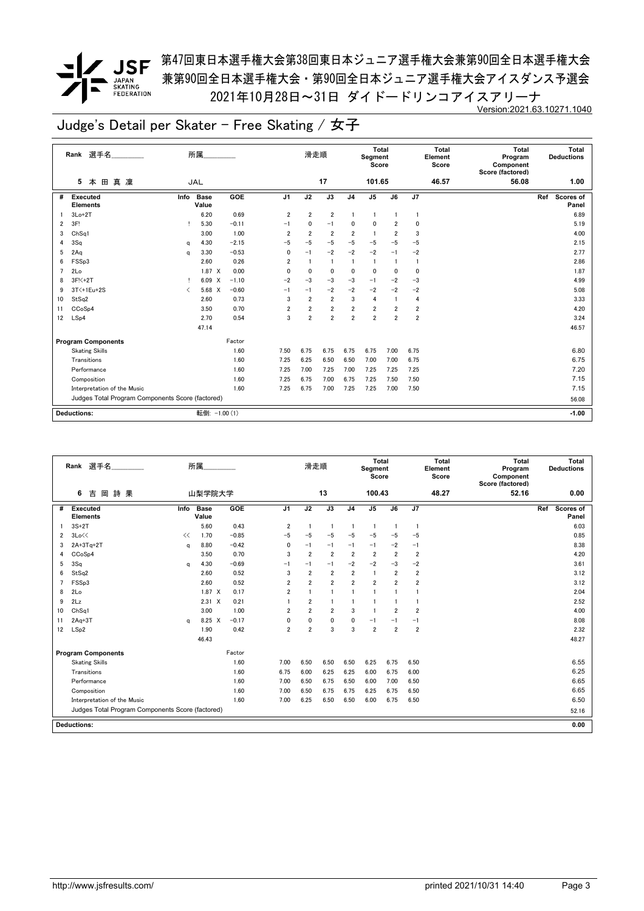

*▼* JSF <sup>第47回東日本選手権大会第38回東日本ジュニア選手権大会兼第90回全日本選手権大会</sup> 兼第90回全日本選手権大会・第90回全日本ジュニア選手権大会アイスダンス予選会 2021年10月28日~31日 ダイドードリンコアイスアリーナ Version:2021.63.10271.1040

|    | Rank 選手名                                         |      | 所属                   |            |                | 滑走順            |                |                | <b>Total</b><br>Segment<br>Score |                |                         | Total<br>Element<br>Score | <b>Total</b><br>Program<br>Component<br>Score (factored) | Total<br><b>Deductions</b> |
|----|--------------------------------------------------|------|----------------------|------------|----------------|----------------|----------------|----------------|----------------------------------|----------------|-------------------------|---------------------------|----------------------------------------------------------|----------------------------|
|    | 真凜<br>田<br>5<br>本                                |      | <b>JAL</b>           |            |                |                | 17             |                | 101.65                           |                |                         | 46.57                     | 56.08                                                    | 1.00                       |
| #  | Executed<br><b>Elements</b>                      | Info | <b>Base</b><br>Value | <b>GOE</b> | J <sub>1</sub> | J2             | J3             | J <sub>4</sub> | J <sub>5</sub>                   | J6             | J7                      |                           |                                                          | Scores of<br>Ref<br>Panel  |
|    | $3Lo+2T$                                         |      | 6.20                 | 0.69       | $\overline{2}$ | $\overline{2}$ | $\overline{2}$ | 1              | $\overline{1}$                   |                | $\mathbf{1}$            |                           |                                                          | 6.89                       |
| 2  | 3F!                                              |      | 5.30                 | $-0.11$    | $-1$           | 0              | $-1$           | 0              | 0                                | $\overline{2}$ | 0                       |                           |                                                          | 5.19                       |
| 3  | Ch <sub>Sq1</sub>                                |      | 3.00                 | 1.00       | $\overline{2}$ | $\overline{2}$ | $\overline{2}$ | $\overline{2}$ | $\overline{1}$                   | $\overline{2}$ | 3                       |                           |                                                          | 4.00                       |
| 4  | 3Sq                                              | q    | 4.30                 | $-2.15$    | $-5$           | $-5$           | $-5$           | $-5$           | $-5$                             | $-5$           | $-5$                    |                           |                                                          | 2.15                       |
| 5  | 2Aq                                              | q    | 3.30                 | $-0.53$    | $\mathbf 0$    | $-1$           | $-2$           | $-2$           | $-2$                             | $-1$           | $-2$                    |                           |                                                          | 2.77                       |
| 6  | FSSp3                                            |      | 2.60                 | 0.26       | 2              | $\mathbf{1}$   | $\mathbf{1}$   | -1             | $\mathbf{1}$                     |                | 1                       |                           |                                                          | 2.86                       |
| 7  | 2Lo                                              |      | 1.87 X               | 0.00       | $\mathbf{0}$   | $\mathbf{0}$   | $\mathbf 0$    | $\mathbf{0}$   | $\mathbf{0}$                     | $\mathbf{0}$   | 0                       |                           |                                                          | 1.87                       |
| 8  | 3F!<+2T                                          |      | 6.09 X               | $-1.10$    | $-2$           | $-3$           | $-3$           | $-3$           | $-1$                             | $-2$           | $-3$                    |                           |                                                          | 4.99                       |
| 9  | 3T < + 1 Eu + 2 S                                | ≺    | 5.68 X               | $-0.60$    | $-1$           | $-1$           | $-2$           | $-2$           | $-2$                             | $-2$           | $-2$                    |                           |                                                          | 5.08                       |
| 10 | StSq2                                            |      | 2.60                 | 0.73       | 3              | $\overline{2}$ | $\overline{2}$ | 3              | 4                                | -1             | 4                       |                           |                                                          | 3.33                       |
| 11 | CCoSp4                                           |      | 3.50                 | 0.70       | $\overline{2}$ | $\overline{2}$ | $\overline{2}$ | 2              | $\overline{\mathbf{2}}$          | 2              | 2                       |                           |                                                          | 4.20                       |
| 12 | LSp4                                             |      | 2.70                 | 0.54       | 3              | $\overline{2}$ | $\overline{2}$ | $\overline{2}$ | $\overline{2}$                   | $\overline{2}$ | $\overline{\mathbf{2}}$ |                           |                                                          | 3.24                       |
|    |                                                  |      | 47.14                |            |                |                |                |                |                                  |                |                         |                           |                                                          | 46.57                      |
|    | <b>Program Components</b>                        |      |                      | Factor     |                |                |                |                |                                  |                |                         |                           |                                                          |                            |
|    | <b>Skating Skills</b>                            |      |                      | 1.60       | 7.50           | 6.75           | 6.75           | 6.75           | 6.75                             | 7.00           | 6.75                    |                           |                                                          | 6.80                       |
|    | Transitions                                      |      |                      | 1.60       | 7.25           | 6.25           | 6.50           | 6.50           | 7.00                             | 7.00           | 6.75                    |                           |                                                          | 6.75                       |
|    | Performance                                      |      |                      | 1.60       | 7.25           | 7.00           | 7.25           | 7.00           | 7.25                             | 7.25           | 7.25                    |                           |                                                          | 7.20                       |
|    | Composition                                      |      |                      | 1.60       | 7.25           | 6.75           | 7.00           | 6.75           | 7.25                             | 7.50           | 7.50                    |                           |                                                          | 7.15                       |
|    | Interpretation of the Music                      |      |                      | 1.60       | 7.25           | 6.75           | 7.00           | 7.25           | 7.25                             | 7.00           | 7.50                    |                           |                                                          | 7.15                       |
|    | Judges Total Program Components Score (factored) |      |                      |            |                |                |                |                |                                  |                |                         |                           |                                                          | 56.08                      |
|    | <b>Deductions:</b>                               |      | 転倒: -1.00 (1)        |            |                |                |                |                |                                  |                |                         |                           |                                                          | $-1.00$                    |

|                | 選手名<br>Rank                                      |      | 所属                   |         |                | 滑走順            |                |                | Total<br>Segment<br>Score |                |                         | <b>Total</b><br>Element<br>Score | <b>Total</b><br>Program<br>Component<br>Score (factored) | <b>Total</b><br><b>Deductions</b> |
|----------------|--------------------------------------------------|------|----------------------|---------|----------------|----------------|----------------|----------------|---------------------------|----------------|-------------------------|----------------------------------|----------------------------------------------------------|-----------------------------------|
|                | 詩 果<br>6<br>吉<br>岡                               |      | 山梨学院大学               |         |                |                | 13             |                | 100.43                    |                |                         | 48.27                            | 52.16                                                    | 0.00                              |
| #              | Executed<br><b>Elements</b>                      | Info | <b>Base</b><br>Value | GOE     | J <sub>1</sub> | J2             | J3             | J <sub>4</sub> | J <sub>5</sub>            | J6             | J7                      |                                  |                                                          | Scores of<br>Ref<br>Panel         |
|                | $3S+2T$                                          |      | 5.60                 | 0.43    | $\overline{2}$ | $\overline{1}$ | $\overline{1}$ | $\overline{1}$ | -1                        | $\mathbf{1}$   | $\overline{1}$          |                                  |                                                          | 6.03                              |
| $\overline{2}$ | 3Lo<<                                            | <<   | 1.70                 | $-0.85$ | $-5$           | $-5$           | $-5$           | $-5$           | $-5$                      | $-5$           | $-5$                    |                                  |                                                          | 0.85                              |
| 3              | $2A+3Tq+2T$                                      | a    | 8.80                 | $-0.42$ | $\mathbf{0}$   | $-1$           | $-1$           | $-1$           | $-1$                      | $-2$           | $-1$                    |                                  |                                                          | 8.38                              |
| 4              | CCoSp4                                           |      | 3.50                 | 0.70    | 3              | $\overline{2}$ | $\overline{2}$ | $\overline{2}$ | $\overline{2}$            | $\overline{2}$ | $\overline{2}$          |                                  |                                                          | 4.20                              |
| 5              | 3Sq                                              | a    | 4.30                 | $-0.69$ | $-1$           | $-1$           | $-1$           | $-2$           | $-2$                      | $-3$           | $-2$                    |                                  |                                                          | 3.61                              |
| 6              | StSq2                                            |      | 2.60                 | 0.52    | 3              | $\overline{2}$ | $\overline{2}$ | $\overline{2}$ | $\mathbf{1}$              | $\overline{2}$ | $\overline{2}$          |                                  |                                                          | 3.12                              |
| 7              | FSSp3                                            |      | 2.60                 | 0.52    | 2              | $\overline{2}$ | $\overline{2}$ | $\overline{2}$ | $\overline{2}$            | $\overline{2}$ | $\overline{2}$          |                                  |                                                          | 3.12                              |
| 8              | 2Lo                                              |      | 1.87 X               | 0.17    | $\overline{2}$ | $\overline{1}$ |                | $\mathbf{1}$   | 1                         | 1              |                         |                                  |                                                          | 2.04                              |
| 9              | 2Lz                                              |      | $2.31 \t X$          | 0.21    |                | $\overline{2}$ |                |                | 1                         |                |                         |                                  |                                                          | 2.52                              |
| 10             | Ch <sub>Sq1</sub>                                |      | 3.00                 | 1.00    | 2              | $\overline{2}$ | 2              | 3              | $\overline{1}$            | $\overline{2}$ | $\overline{\mathbf{2}}$ |                                  |                                                          | 4.00                              |
| 11             | $2Aq+3T$                                         | a    | 8.25 X               | $-0.17$ | 0              | $\mathbf 0$    | $\mathbf 0$    | $\mathbf{0}$   | $-1$                      | $-1$           | $-1$                    |                                  |                                                          | 8.08                              |
| 12             | LSp2                                             |      | 1.90                 | 0.42    | $\overline{2}$ | $\overline{2}$ | 3              | 3              | $\overline{2}$            | $\overline{2}$ | $\overline{\mathbf{2}}$ |                                  |                                                          | 2.32                              |
|                |                                                  |      | 46.43                |         |                |                |                |                |                           |                |                         |                                  |                                                          | 48.27                             |
|                | <b>Program Components</b>                        |      |                      | Factor  |                |                |                |                |                           |                |                         |                                  |                                                          |                                   |
|                | <b>Skating Skills</b>                            |      |                      | 1.60    | 7.00           | 6.50           | 6.50           | 6.50           | 6.25                      | 6.75           | 6.50                    |                                  |                                                          | 6.55                              |
|                | Transitions                                      |      |                      | 1.60    | 6.75           | 6.00           | 6.25           | 6.25           | 6.00                      | 6.75           | 6.00                    |                                  |                                                          | 6.25                              |
|                | Performance                                      |      |                      | 1.60    | 7.00           | 6.50           | 6.75           | 6.50           | 6.00                      | 7.00           | 6.50                    |                                  |                                                          | 6.65                              |
|                | Composition                                      |      |                      | 1.60    | 7.00           | 6.50           | 6.75           | 6.75           | 6.25                      | 6.75           | 6.50                    |                                  |                                                          | 6.65                              |
|                | Interpretation of the Music                      |      |                      | 1.60    | 7.00           | 6.25           | 6.50           | 6.50           | 6.00                      | 6.75           | 6.50                    |                                  |                                                          | 6.50                              |
|                | Judges Total Program Components Score (factored) |      |                      |         |                |                |                |                |                           |                |                         |                                  |                                                          | 52.16                             |
|                | <b>Deductions:</b>                               |      |                      |         |                |                |                |                |                           |                |                         |                                  |                                                          | 0.00                              |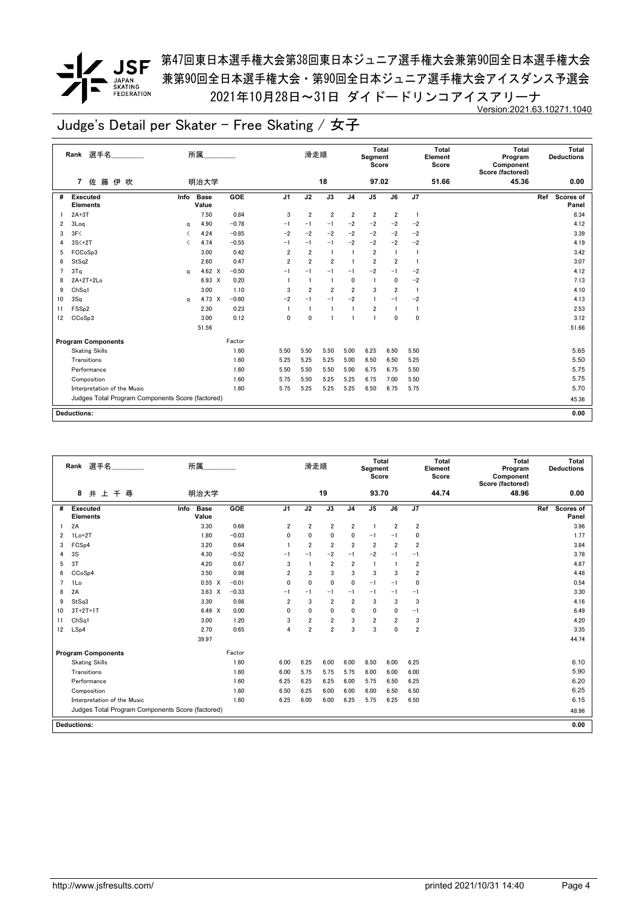### *▼* JSF <sup>第47回東日本選手権大会第38回東日本ジュニア選手権大会兼第90回全日本選手権大会</sup> 兼第90回全日本選手権大会・第90回全日本ジュニア選手権大会アイスダンス予選会 2021年10月28日~31日 ダイドードリンコアイスアリーナ

Version:2021.63.10271.1040

|                | Rank 選手名                                         |                               | 所属                   |         |                | 滑走順            |                |                | <b>Total</b><br>Segment<br>Score |                         |                | <b>Total</b><br>Element<br>Score | <b>Total</b><br>Program<br>Component<br>Score (factored) | Total<br><b>Deductions</b> |
|----------------|--------------------------------------------------|-------------------------------|----------------------|---------|----------------|----------------|----------------|----------------|----------------------------------|-------------------------|----------------|----------------------------------|----------------------------------------------------------|----------------------------|
|                | 7 佐藤伊<br>吹                                       |                               | 明治大学                 |         |                |                | 18             |                | 97.02                            |                         |                | 51.66                            | 45.36                                                    | 0.00                       |
| #              | Executed<br><b>Elements</b>                      | Info                          | <b>Base</b><br>Value | GOE     | J <sub>1</sub> | J2             | J3             | J <sub>4</sub> | J5                               | J6                      | J <sub>7</sub> |                                  |                                                          | Scores of<br>Ref<br>Panel  |
|                | $2A+3T$                                          |                               | 7.50                 | 0.84    | 3              | $\overline{2}$ | $\overline{2}$ | $\overline{2}$ | $\overline{2}$                   | $\overline{\mathbf{2}}$ | $\overline{1}$ |                                  |                                                          | 8.34                       |
| 2              | 3Log                                             | q                             | 4.90                 | $-0.78$ | $-1$           | $-1$           | $-1$           | $-2$           | $-2$                             | $-2$                    | $-2$           |                                  |                                                          | 4.12                       |
| 3              | 3F<                                              |                               | 4.24                 | $-0.85$ | $-2$           | $-2$           | $-2$           | $-2$           | $-2$                             | $-2$                    | $-2$           |                                  |                                                          | 3.39                       |
| 4              | $3S<+2T$                                         | $\overline{\left( \right. }%$ | 4.74                 | $-0.55$ | $-1$           | $-1$           | $-1$           | $-2$           | $-2$                             | $-2$                    | $-2$           |                                  |                                                          | 4.19                       |
| 5              | FCCoSp3                                          |                               | 3.00                 | 0.42    | $\overline{2}$ | $\overline{2}$ | -1             |                | $\overline{2}$                   | $\mathbf{1}$            | 1              |                                  |                                                          | 3.42                       |
| 6              | StSq2                                            |                               | 2.60                 | 0.47    | $\overline{2}$ | $\overline{2}$ | $\overline{2}$ | $\mathbf{1}$   | $\overline{2}$                   | $\overline{2}$          | $\mathbf{1}$   |                                  |                                                          | 3.07                       |
| $\overline{ }$ | 3Tq                                              | a                             | 4.62 $\times$        | $-0.50$ | $-1$           | $-1$           | $-1$           | $-1$           | $-2$                             | $-1$                    | $-2$           |                                  |                                                          | 4.12                       |
| 8              | 2A+2T+2Lo                                        |                               | 6.93 X               | 0.20    |                |                | $\overline{1}$ | 0              | $\mathbf{1}$                     | 0                       | $-2$           |                                  |                                                          | 7.13                       |
| 9              | Ch <sub>Sq1</sub>                                |                               | 3.00                 | 1.10    | 3              | $\overline{2}$ | $\overline{2}$ | $\overline{2}$ | 3                                | $\overline{2}$          | $\overline{1}$ |                                  |                                                          | 4.10                       |
| 10             | 3Sq                                              | a                             | 4.73 X               | $-0.60$ | $-2$           | $-1$           | $-1$           | $-2$           | $\mathbf{1}$                     | $-1$                    | $-2$           |                                  |                                                          | 4.13                       |
| 11             | FSS <sub>p2</sub>                                |                               | 2.30                 | 0.23    | $\overline{1}$ | $\overline{1}$ | $\overline{1}$ | $\mathbf{1}$   | $\overline{2}$                   | -1                      | 1              |                                  |                                                          | 2.53                       |
| 12             | CCoSp3                                           |                               | 3.00                 | 0.12    | $\mathbf{0}$   | $\mathbf{0}$   | 1              | $\mathbf{1}$   | $\mathbf{1}$                     | $\mathbf{0}$            | 0              |                                  |                                                          | 3.12                       |
|                |                                                  |                               | 51.56                |         |                |                |                |                |                                  |                         |                |                                  |                                                          | 51.66                      |
|                | <b>Program Components</b>                        |                               |                      | Factor  |                |                |                |                |                                  |                         |                |                                  |                                                          |                            |
|                | <b>Skating Skills</b>                            |                               |                      | 1.60    | 5.50           | 5.50           | 5.50           | 5.00           | 6.25                             | 6.50                    | 5.50           |                                  |                                                          | 5.65                       |
|                | Transitions                                      |                               |                      | 1.60    | 5.25           | 5.25           | 5.25           | 5.00           | 6.50                             | 6.50                    | 5.25           |                                  |                                                          | 5.50                       |
|                | Performance                                      |                               |                      | 1.60    | 5.50           | 5.50           | 5.50           | 5.00           | 6.75                             | 6.75                    | 5.50           |                                  |                                                          | 5.75                       |
|                | Composition                                      |                               |                      | 1.60    | 5.75           | 5.50           | 5.25           | 5.25           | 6.75                             | 7.00                    | 5.50           |                                  |                                                          | 5.75                       |
|                | Interpretation of the Music                      |                               |                      | 1.60    | 5.75           | 5.25           | 5.25           | 5.25           | 6.50                             | 6.75                    | 5.75           |                                  |                                                          | 5.70                       |
|                | Judges Total Program Components Score (factored) |                               |                      |         |                |                |                |                |                                  |                         |                |                                  |                                                          | 45.36                      |
|                |                                                  |                               |                      |         |                |                |                |                |                                  |                         |                |                                  |                                                          |                            |
|                | <b>Deductions:</b>                               |                               |                      |         |                |                |                |                |                                  |                         |                |                                  |                                                          | 0.00                       |

|                | 選手名<br>Rank                                      | 所属                           |         |                | 滑走順            |                |                | Total<br>Segment<br>Score |                |                | <b>Total</b><br>Element<br>Score | Total<br>Program<br>Component<br>Score (factored) |     | Total<br><b>Deductions</b> |
|----------------|--------------------------------------------------|------------------------------|---------|----------------|----------------|----------------|----------------|---------------------------|----------------|----------------|----------------------------------|---------------------------------------------------|-----|----------------------------|
|                | 8<br>井 上 千 尋                                     | 明治大学                         |         |                |                | 19             |                | 93.70                     |                |                | 44.74                            | 48.96                                             |     | 0.00                       |
| #              | <b>Executed</b><br><b>Elements</b>               | Info<br><b>Base</b><br>Value | GOE     | J <sub>1</sub> | J2             | J3             | J <sub>4</sub> | J <sub>5</sub>            | J6             | J7             |                                  |                                                   | Ref | <b>Scores of</b><br>Panel  |
|                | 2A                                               | 3.30                         | 0.66    | $\overline{2}$ | $\overline{2}$ | $\overline{2}$ | $\overline{2}$ | $\mathbf{1}$              | $\overline{2}$ | $\overline{2}$ |                                  |                                                   |     | 3.96                       |
| 2              | $1Lo+2T$                                         | 1.80                         | $-0.03$ | 0              | 0              | 0              | 0              | $-1$                      | $-1$           | 0              |                                  |                                                   |     | 1.77                       |
| 3              | FCS <sub>p4</sub>                                | 3.20                         | 0.64    | $\overline{1}$ | $\overline{2}$ | $\overline{2}$ | $\overline{2}$ | $\overline{2}$            | $\overline{2}$ | $\overline{2}$ |                                  |                                                   |     | 3.84                       |
| 4              | 3S                                               | 4.30                         | $-0.52$ | $-1$           | $-1$           | $-2$           | $-1$           | $-2$                      | $-1$           | $-1$           |                                  |                                                   |     | 3.78                       |
| 5              | 3T                                               | 4.20                         | 0.67    | 3              |                | $\overline{2}$ | $\overline{2}$ | $\mathbf{1}$              |                | $\overline{2}$ |                                  |                                                   |     | 4.87                       |
| 6              | CCoSp4                                           | 3.50                         | 0.98    | $\overline{2}$ | 3              | 3              | 3              | 3                         | 3              | $\overline{2}$ |                                  |                                                   |     | 4.48                       |
| $\overline{7}$ | 1Lo                                              | $0.55 \quad X$               | $-0.01$ | 0              | 0              | 0              | $\mathbf{0}$   | $-1$                      | $-1$           | 0              |                                  |                                                   |     | 0.54                       |
| 8              | 2A                                               | $3.63 \times$                | $-0.33$ | $-1$           | $-1$           | $-1$           | $-1$           | $-1$                      | $-1$           | $-1$           |                                  |                                                   |     | 3.30                       |
| 9              | StSq3                                            | 3.30                         | 0.86    | $\overline{2}$ | 3              | $\overline{2}$ | $\overline{2}$ | 3                         | 3              | 3              |                                  |                                                   |     | 4.16                       |
| 10             | $3T+2T+1T$                                       | 6.49 X                       | 0.00    | 0              | 0              | 0              | 0              | 0                         | 0              | $-1$           |                                  |                                                   |     | 6.49                       |
| 11             | Ch <sub>Sq1</sub>                                | 3.00                         | 1.20    | 3              | 2              | $\overline{2}$ | 3              | $\overline{2}$            | $\overline{2}$ | 3              |                                  |                                                   |     | 4.20                       |
| 12             | LSp4                                             | 2.70                         | 0.65    | 4              | 2              | $\overline{2}$ | 3              | 3                         | $\mathbf{0}$   | $\overline{2}$ |                                  |                                                   |     | 3.35                       |
|                |                                                  | 39.97                        |         |                |                |                |                |                           |                |                |                                  |                                                   |     | 44.74                      |
|                | <b>Program Components</b>                        |                              | Factor  |                |                |                |                |                           |                |                |                                  |                                                   |     |                            |
|                | <b>Skating Skills</b>                            |                              | 1.60    | 6.00           | 6.25           | 6.00           | 6.00           | 6.50                      | 6.00           | 6.25           |                                  |                                                   |     | 6.10                       |
|                | Transitions                                      |                              | 1.60    | 6.00           | 5.75           | 5.75           | 5.75           | 6.00                      | 6.00           | 6.00           |                                  |                                                   |     | 5.90                       |
|                | Performance                                      |                              | 1.60    | 6.25           | 6.25           | 6.25           | 6.00           | 5.75                      | 6.50           | 6.25           |                                  |                                                   |     | 6.20                       |
|                | Composition                                      |                              | 1.60    | 6.50           | 6.25           | 6.00           | 6.00           | 6.00                      | 6.50           | 6.50           |                                  |                                                   |     | 6.25                       |
|                | Interpretation of the Music                      |                              | 1.60    | 6.25           | 6.00           | 6.00           | 6.25           | 5.75                      | 6.25           | 6.50           |                                  |                                                   |     | 6.15                       |
|                | Judges Total Program Components Score (factored) |                              |         |                |                |                |                |                           |                |                |                                  |                                                   |     | 48.96                      |
|                | <b>Deductions:</b>                               |                              |         |                |                |                |                |                           |                |                |                                  |                                                   |     | 0.00                       |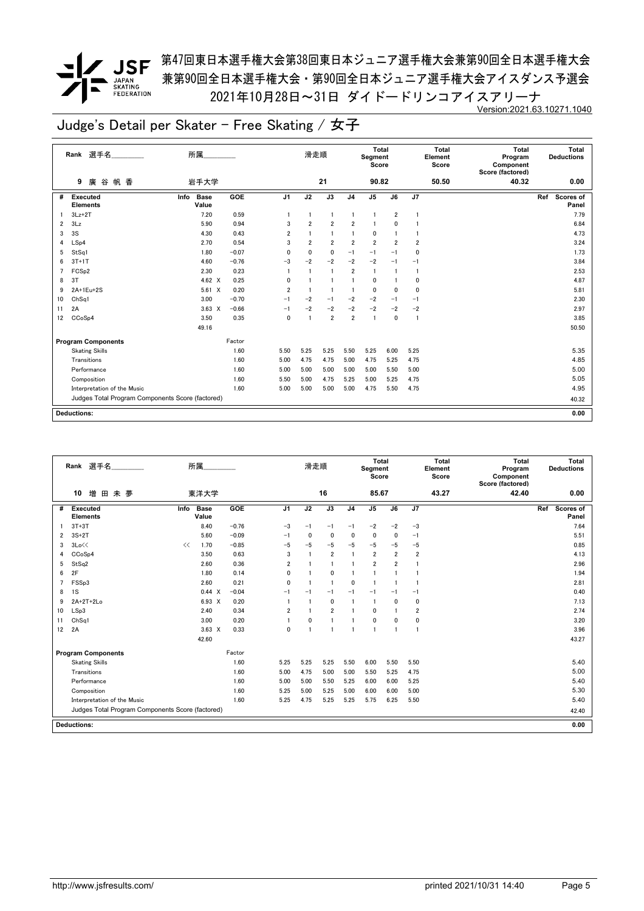

*▼* JSF <sup>第47回東日本選手権大会第38回東日本ジュニア選手権大会兼第90回全日本選手権大会</sup> 兼第90回全日本選手権大会・第90回全日本ジュニア選手権大会アイスダンス予選会 2021年10月28日~31日 ダイドードリンコアイスアリーナ Version:2021.63.10271.1040

|                | Rank 選手名                                         | 所属                           |         |                         | 滑走順            |                |                | <b>Total</b><br>Segment<br>Score |                |                         | Total<br>Element<br>Score | <b>Total</b><br>Program<br>Component<br>Score (factored) | Total<br><b>Deductions</b> |
|----------------|--------------------------------------------------|------------------------------|---------|-------------------------|----------------|----------------|----------------|----------------------------------|----------------|-------------------------|---------------------------|----------------------------------------------------------|----------------------------|
|                | 廣<br>帆香<br>9<br>谷                                | 岩手大学                         |         |                         |                | 21             |                | 90.82                            |                |                         | 50.50                     | 40.32                                                    | 0.00                       |
| #              | <b>Executed</b><br><b>Elements</b>               | Info<br><b>Base</b><br>Value | GOE     | J <sub>1</sub>          | J2             | J3             | J <sub>4</sub> | J <sub>5</sub>                   | J6             | J7                      |                           |                                                          | Scores of<br>Ref<br>Panel  |
|                | $3Lz + 2T$                                       | 7.20                         | 0.59    | $\overline{\mathbf{1}}$ | $\mathbf{1}$   | $\overline{1}$ | 1              | $\mathbf{1}$                     | 2              |                         |                           |                                                          | 7.79                       |
| $\overline{2}$ | 3Lz                                              | 5.90                         | 0.94    | 3                       | $\overline{2}$ | $\overline{2}$ | $\overline{2}$ | 1                                | 0              |                         |                           |                                                          | 6.84                       |
| 3              | 3S                                               | 4.30                         | 0.43    | $\overline{2}$          |                | $\overline{1}$ |                | 0                                |                |                         |                           |                                                          | 4.73                       |
| 4              | LSp4                                             | 2.70                         | 0.54    | 3                       | $\overline{2}$ | $\overline{2}$ | $\overline{2}$ | $\overline{\mathbf{2}}$          | $\overline{2}$ | $\overline{\mathbf{2}}$ |                           |                                                          | 3.24                       |
| 5              | StSq1                                            | 1.80                         | $-0.07$ | 0                       | 0              | 0              | $-1$           | $-1$                             | $-1$           | 0                       |                           |                                                          | 1.73                       |
| 6              | $3T+1T$                                          | 4.60                         | $-0.76$ | $-3$                    | $-2$           | $-2$           | $-2$           | $-2$                             | $-1$           | $-1$                    |                           |                                                          | 3.84                       |
| 7              | FCS <sub>p2</sub>                                | 2.30                         | 0.23    | $\overline{1}$          |                | $\overline{1}$ | $\overline{2}$ | 1                                | $\mathbf{1}$   | $\mathbf{1}$            |                           |                                                          | 2.53                       |
| 8              | 3T                                               | 4.62 X                       | 0.25    | 0                       |                |                |                | 0                                |                | 0                       |                           |                                                          | 4.87                       |
| 9              | 2A+1Eu+2S                                        | $5.61 \t X$                  | 0.20    | $\overline{2}$          | $\mathbf{1}$   | -1             |                | 0                                | 0              | 0                       |                           |                                                          | 5.81                       |
| 10             | Ch <sub>Sq1</sub>                                | 3.00                         | $-0.70$ | $-1$                    | $-2$           | $-1$           | $-2$           | $-2$                             | $-1$           | $-1$                    |                           |                                                          | 2.30                       |
| 11             | 2A                                               | $3.63 \times$                | $-0.66$ | $-1$                    | $-2$           | $-2$           | $-2$           | $-2$                             | $-2$           | $-2$                    |                           |                                                          | 2.97                       |
| 12             | CCoSp4                                           | 3.50                         | 0.35    | $\mathbf 0$             | $\mathbf{1}$   | $\overline{2}$ | $\overline{2}$ | $\mathbf{1}$                     | $\mathbf{0}$   | $\overline{1}$          |                           |                                                          | 3.85                       |
|                |                                                  | 49.16                        |         |                         |                |                |                |                                  |                |                         |                           |                                                          | 50.50                      |
|                | <b>Program Components</b>                        |                              | Factor  |                         |                |                |                |                                  |                |                         |                           |                                                          |                            |
|                | <b>Skating Skills</b>                            |                              | 1.60    | 5.50                    | 5.25           | 5.25           | 5.50           | 5.25                             | 6.00           | 5.25                    |                           |                                                          | 5.35                       |
|                | Transitions                                      |                              | 1.60    | 5.00                    | 4.75           | 4.75           | 5.00           | 4.75                             | 5.25           | 4.75                    |                           |                                                          | 4.85                       |
|                | Performance                                      |                              | 1.60    | 5.00                    | 5.00           | 5.00           | 5.00           | 5.00                             | 5.50           | 5.00                    |                           |                                                          | 5.00                       |
|                | Composition                                      |                              | 1.60    | 5.50                    | 5.00           | 4.75           | 5.25           | 5.00                             | 5.25           | 4.75                    |                           |                                                          | 5.05                       |
|                | Interpretation of the Music                      |                              | 1.60    | 5.00                    | 5.00           | 5.00           | 5.00           | 4.75                             | 5.50           | 4.75                    |                           |                                                          | 4.95                       |
|                | Judges Total Program Components Score (factored) |                              |         |                         |                |                |                |                                  |                |                         |                           |                                                          | 40.32                      |
|                |                                                  |                              |         |                         |                |                |                |                                  |                |                         |                           |                                                          |                            |
|                | Deductions:                                      |                              |         |                         |                |                |                |                                  |                |                         |                           |                                                          | 0.00                       |

|                | 選手名<br>Rank                                      | 所属                           |         |                | 滑走順            |                |                | Total<br>Segment<br>Score |                         |                         | <b>Total</b><br>Element<br>Score | <b>Total</b><br>Program<br>Component<br>Score (factored) | Total<br><b>Deductions</b> |
|----------------|--------------------------------------------------|------------------------------|---------|----------------|----------------|----------------|----------------|---------------------------|-------------------------|-------------------------|----------------------------------|----------------------------------------------------------|----------------------------|
|                | 増<br>10<br>田<br>未夢                               | 東洋大学                         |         |                |                | 16             |                | 85.67                     |                         |                         | 43.27                            | 42.40                                                    | 0.00                       |
| #              | Executed<br><b>Elements</b>                      | Info<br><b>Base</b><br>Value | GOE     | J <sub>1</sub> | J2             | J3             | J <sub>4</sub> | J <sub>5</sub>            | J6                      | J7                      |                                  |                                                          | Ref<br>Scores of<br>Panel  |
|                | $3T+3T$                                          | 8.40                         | $-0.76$ | $-3$           | $-1$           | $-1$           | $-1$           | $-2$                      | $-2$                    | $-3$                    |                                  |                                                          | 7.64                       |
| $\overline{2}$ | $3S+2T$                                          | 5.60                         | $-0.09$ | $-1$           | 0              | 0              | $\mathbf{0}$   | $\mathbf 0$               | 0                       | $-1$                    |                                  |                                                          | 5.51                       |
| 3              | 3Lo<<                                            | 1.70<br><<                   | $-0.85$ | $-5$           | $-5$           | $-5$           | $-5$           | $-5$                      | $-5$                    | $-5$                    |                                  |                                                          | 0.85                       |
| 4              | CCoSp4                                           | 3.50                         | 0.63    | 3              | $\overline{1}$ | $\overline{2}$ | $\overline{1}$ | $\overline{\mathbf{2}}$   | $\overline{\mathbf{2}}$ | $\overline{\mathbf{2}}$ |                                  |                                                          | 4.13                       |
| 5              | StSq2                                            | 2.60                         | 0.36    | $\overline{2}$ |                | $\mathbf{1}$   |                | $\overline{2}$            | $\overline{2}$          |                         |                                  |                                                          | 2.96                       |
| 6              | 2F                                               | 1.80                         | 0.14    | 0              |                | $\mathbf 0$    |                | 1                         |                         |                         |                                  |                                                          | 1.94                       |
| $\overline{7}$ | FSSp3                                            | 2.60                         | 0.21    | $\Omega$       |                | $\overline{1}$ | $\mathbf 0$    | $\overline{1}$            | -1                      |                         |                                  |                                                          | 2.81                       |
| 8              | 1S                                               | 0.44 X                       | $-0.04$ | $-1$           | $-1$           | $-1$           | $-1$           | $-1$                      | $-1$                    | $-1$                    |                                  |                                                          | 0.40                       |
| 9              | 2A+2T+2Lo                                        | 6.93 X                       | 0.20    |                |                | $\mathbf{0}$   | $\mathbf{1}$   | $\overline{1}$            | $\mathbf{0}$            | 0                       |                                  |                                                          | 7.13                       |
| 10             | LSp3                                             | 2.40                         | 0.34    | $\overline{2}$ | $\overline{1}$ | $\overline{2}$ | $\mathbf{1}$   | 0                         |                         | $\overline{2}$          |                                  |                                                          | 2.74                       |
| 11             | ChSa1                                            | 3.00                         | 0.20    |                | $\mathbf{0}$   |                | $\mathbf{1}$   | 0                         | 0                       | 0                       |                                  |                                                          | 3.20                       |
| 12             | 2A                                               | $3.63 \times$                | 0.33    | $\mathbf{0}$   | $\overline{1}$ | $\blacksquare$ | $\overline{1}$ | $\mathbf{1}$              | $\overline{1}$          | $\overline{1}$          |                                  |                                                          | 3.96                       |
|                |                                                  | 42.60                        |         |                |                |                |                |                           |                         |                         |                                  |                                                          | 43.27                      |
|                | <b>Program Components</b>                        |                              | Factor  |                |                |                |                |                           |                         |                         |                                  |                                                          |                            |
|                | <b>Skating Skills</b>                            |                              | 1.60    | 5.25           | 5.25           | 5.25           | 5.50           | 6.00                      | 5.50                    | 5.50                    |                                  |                                                          | 5.40                       |
|                | Transitions                                      |                              | 1.60    | 5.00           | 4.75           | 5.00           | 5.00           | 5.50                      | 5.25                    | 4.75                    |                                  |                                                          | 5.00                       |
|                | Performance                                      |                              | 1.60    | 5.00           | 5.00           | 5.50           | 5.25           | 6.00                      | 6.00                    | 5.25                    |                                  |                                                          | 5.40                       |
|                | Composition                                      |                              | 1.60    | 5.25           | 5.00           | 5.25           | 5.00           | 6.00                      | 6.00                    | 5.00                    |                                  |                                                          | 5.30                       |
|                | Interpretation of the Music                      |                              | 1.60    | 5.25           | 4.75           | 5.25           | 5.25           | 5.75                      | 6.25                    | 5.50                    |                                  |                                                          | 5.40                       |
|                | Judges Total Program Components Score (factored) |                              |         |                |                |                |                |                           |                         |                         |                                  |                                                          | 42.40                      |
|                | <b>Deductions:</b>                               |                              |         |                |                |                |                |                           |                         |                         |                                  |                                                          | 0.00                       |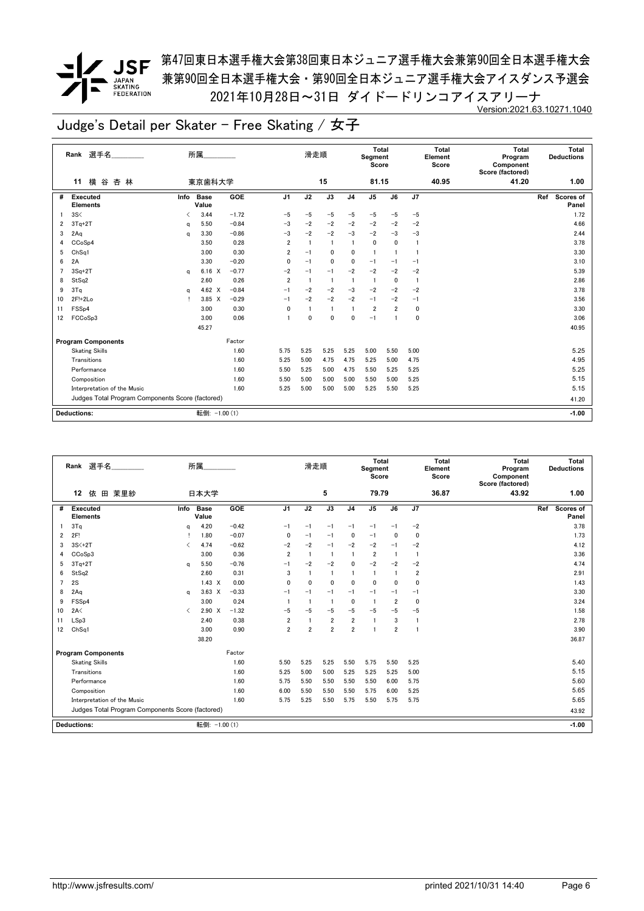*▼* JSF <sup>第47回東日本選手権大会第38回東日本ジュニア選手権大会兼第90回全日本選手権大会</sup> 兼第90回全日本選手権大会・第90回全日本ジュニア選手権大会アイスダンス予選会 2021年10月28日~31日 ダイドードリンコアイスアリーナ Version:2021.63.10271.1040

|                         | Rank 選手名                                         |      | 所属                   |         |                | 滑走順            |                |                | Total<br>Segment<br>Score |                |                | <b>Total</b><br>Element<br>Score | <b>Total</b><br>Program<br>Component<br>Score (factored) | Total<br><b>Deductions</b> |
|-------------------------|--------------------------------------------------|------|----------------------|---------|----------------|----------------|----------------|----------------|---------------------------|----------------|----------------|----------------------------------|----------------------------------------------------------|----------------------------|
|                         | 横谷杏林<br>11                                       |      | 東京歯科大学               |         |                |                | 15             |                | 81.15                     |                |                | 40.95                            | 41.20                                                    | 1.00                       |
| #                       | Executed<br><b>Elements</b>                      | Info | <b>Base</b><br>Value | GOE     | J <sub>1</sub> | J2             | J3             | J <sub>4</sub> | J <sub>5</sub>            | J6             | J7             |                                  |                                                          | Ref<br>Scores of<br>Panel  |
|                         | 3S<                                              |      | 3.44                 | $-1.72$ | $-5$           | $-5$           | $-5$           | $-5$           | $-5$                      | $-5$           | $-5$           |                                  |                                                          | 1.72                       |
| $\overline{\mathbf{2}}$ | $3Tq+2T$                                         | a    | 5.50                 | $-0.84$ | $-3$           | $-2$           | $-2$           | $-2$           | $-2$                      | $-2$           | $-2$           |                                  |                                                          | 4.66                       |
| 3                       | 2Aq                                              | a    | 3.30                 | $-0.86$ | $-3$           | $-2$           | $-2$           | $-3$           | $-2$                      | $-3$           | $-3$           |                                  |                                                          | 2.44                       |
| 4                       | CCoSp4                                           |      | 3.50                 | 0.28    | $\overline{2}$ | $\overline{1}$ | $\overline{1}$ | $\mathbf{1}$   | $\mathbf 0$               | 0              | $\overline{1}$ |                                  |                                                          | 3.78                       |
| 5                       | Ch <sub>Sq1</sub>                                |      | 3.00                 | 0.30    | $\overline{2}$ | $-1$           | $\mathbf{0}$   | $\mathbf{0}$   | $\mathbf{1}$              | $\overline{1}$ | 1              |                                  |                                                          | 3.30                       |
| 6                       | 2A                                               |      | 3.30                 | $-0.20$ | $\mathbf 0$    | $-1$           | $\mathbf{0}$   | $\mathbf{0}$   | $-1$                      | $-1$           | $-1$           |                                  |                                                          | 3.10                       |
| 7                       | $3Sq+2T$                                         | a    | $6.16 \quad X$       | $-0.77$ | $-2$           | $-1$           | $-1$           | $-2$           | $-2$                      | $-2$           | $-2$           |                                  |                                                          | 5.39                       |
| 8                       | StSq2                                            |      | 2.60                 | 0.26    | $\overline{2}$ | $\overline{1}$ | $\overline{1}$ | $\mathbf{1}$   | $\mathbf{1}$              | 0              | $\overline{1}$ |                                  |                                                          | 2.86                       |
| 9                       | 3Tq                                              | a    | 4.62 $\times$        | $-0.84$ | $-1$           | $-2$           | $-2$           | $-3$           | $-2$                      | $-2$           | $-2$           |                                  |                                                          | 3.78                       |
| 10                      | 2F!+2Lo                                          |      | 3.85 X               | $-0.29$ | $-1$           | $-2$           | $-2$           | $-2$           | $-1$                      | $-2$           | $-1$           |                                  |                                                          | 3.56                       |
| 11                      | FSSp4                                            |      | 3.00                 | 0.30    | 0              | $\overline{1}$ | $\overline{1}$ | $\mathbf{1}$   | $\overline{2}$            | $\overline{2}$ | 0              |                                  |                                                          | 3.30                       |
| 12                      | FCCoSp3                                          |      | 3.00                 | 0.06    |                | $\mathbf 0$    | $\mathbf{0}$   | 0              | $-1$                      | 1              | 0              |                                  |                                                          | 3.06                       |
|                         |                                                  |      | 45.27                |         |                |                |                |                |                           |                |                |                                  |                                                          | 40.95                      |
|                         | <b>Program Components</b>                        |      |                      | Factor  |                |                |                |                |                           |                |                |                                  |                                                          |                            |
|                         | <b>Skating Skills</b>                            |      |                      | 1.60    | 5.75           | 5.25           | 5.25           | 5.25           | 5.00                      | 5.50           | 5.00           |                                  |                                                          | 5.25                       |
|                         | Transitions                                      |      |                      | 1.60    | 5.25           | 5.00           | 4.75           | 4.75           | 5.25                      | 5.00           | 4.75           |                                  |                                                          | 4.95                       |
|                         | Performance                                      |      |                      | 1.60    | 5.50           | 5.25           | 5.00           | 4.75           | 5.50                      | 5.25           | 5.25           |                                  |                                                          | 5.25                       |
|                         | Composition                                      |      |                      | 1.60    | 5.50           | 5.00           | 5.00           | 5.00           | 5.50                      | 5.00           | 5.25           |                                  |                                                          | 5.15                       |
|                         | Interpretation of the Music                      |      |                      | 1.60    | 5.25           | 5.00           | 5.00           | 5.00           | 5.25                      | 5.50           | 5.25           |                                  |                                                          | 5.15                       |
|                         | Judges Total Program Components Score (factored) |      |                      |         |                |                |                |                |                           |                |                |                                  |                                                          | 41.20                      |
|                         |                                                  |      |                      |         |                |                |                |                |                           |                |                |                                  |                                                          |                            |
|                         | <b>Deductions:</b>                               |      | 転倒: -1.00 (1)        |         |                |                |                |                |                           |                |                |                                  |                                                          | $-1.00$                    |

|                | 選手名<br>Rank                                      |                               | 所属                   |         |                | 滑走順            |                |                | <b>Total</b><br>Segment<br>Score |                |                | <b>Total</b><br>Element<br>Score | Total<br>Program<br>Component<br>Score (factored) |     | Total<br><b>Deductions</b> |
|----------------|--------------------------------------------------|-------------------------------|----------------------|---------|----------------|----------------|----------------|----------------|----------------------------------|----------------|----------------|----------------------------------|---------------------------------------------------|-----|----------------------------|
|                | 12<br>依<br>田 茉里紗                                 |                               | 日本大学                 |         |                |                | 5              |                | 79.79                            |                |                | 36.87                            | 43.92                                             |     | 1.00                       |
| #              | <b>Executed</b><br><b>Elements</b>               | Info                          | <b>Base</b><br>Value | GOE     | J <sub>1</sub> | J2             | J3             | J <sub>4</sub> | J <sub>5</sub>                   | J6             | J7             |                                  |                                                   | Ref | <b>Scores of</b><br>Panel  |
|                | 3Tq                                              | q                             | 4.20                 | $-0.42$ | $-1$           | $-1$           | $-1$           | $-1$           | $-1$                             | $-1$           | $-2$           |                                  |                                                   |     | 3.78                       |
| 2              | 2F!                                              |                               | 1.80                 | $-0.07$ | 0              | $-1$           | $-1$           | 0              | $-1$                             | $\Omega$       | 0              |                                  |                                                   |     | 1.73                       |
| 3              | $3S<+2T$                                         | ✓                             | 4.74                 | $-0.62$ | $-2$           | $-2$           | $-1$           | $-2$           | $-2$                             | $-1$           | $-2$           |                                  |                                                   |     | 4.12                       |
| 4              | CC <sub>o</sub> S <sub>p</sub> 3                 |                               | 3.00                 | 0.36    | $\overline{2}$ | $\overline{1}$ | -1             |                | $\overline{2}$                   | $\mathbf{1}$   | $\mathbf{1}$   |                                  |                                                   |     | 3.36                       |
| 5              | $3Tq+2T$                                         | a                             | 5.50                 | $-0.76$ | $-1$           | $-2$           | $-2$           | $\mathbf{0}$   | $-2$                             | $-2$           | $-2$           |                                  |                                                   |     | 4.74                       |
| 6              | StSq2                                            |                               | 2.60                 | 0.31    | 3              |                | $\mathbf{1}$   |                | $\overline{1}$                   |                | $\overline{2}$ |                                  |                                                   |     | 2.91                       |
| $\overline{7}$ | 2S                                               |                               | $1.43 \times$        | 0.00    | $\mathbf{0}$   | 0              | $\mathbf{0}$   | $\mathbf{0}$   | 0                                | $\Omega$       | 0              |                                  |                                                   |     | 1.43                       |
| 8              | 2Aq                                              | a                             | $3.63 \times$        | $-0.33$ | $-1$           | $-1$           | $-1$           | $-1$           | $-1$                             | $-1$           | $-1$           |                                  |                                                   |     | 3.30                       |
| 9              | FSS <sub>p4</sub>                                |                               | 3.00                 | 0.24    |                | -1             | $\overline{1}$ | $\mathbf{0}$   | $\overline{1}$                   | $\overline{2}$ | 0              |                                  |                                                   |     | 3.24                       |
| 10             | 2A<                                              | $\overline{\left( \right. }%$ | $2.90 \times$        | $-1.32$ | $-5$           | $-5$           | $-5$           | $-5$           | $-5$                             | $-5$           | $-5$           |                                  |                                                   |     | 1.58                       |
| 11             | LSp3                                             |                               | 2.40                 | 0.38    | $\overline{2}$ | 1              | $\overline{2}$ | $\overline{2}$ | $\overline{1}$                   | 3              | $\mathbf{1}$   |                                  |                                                   |     | 2.78                       |
| 12             | Ch <sub>Sq1</sub>                                |                               | 3.00                 | 0.90    | 2              | $\overline{2}$ | $\overline{2}$ | $\overline{2}$ | -1                               | $\overline{2}$ | $\mathbf{1}$   |                                  |                                                   |     | 3.90                       |
|                |                                                  |                               | 38.20                |         |                |                |                |                |                                  |                |                |                                  |                                                   |     | 36.87                      |
|                | <b>Program Components</b>                        |                               |                      | Factor  |                |                |                |                |                                  |                |                |                                  |                                                   |     |                            |
|                | <b>Skating Skills</b>                            |                               |                      | 1.60    | 5.50           | 5.25           | 5.25           | 5.50           | 5.75                             | 5.50           | 5.25           |                                  |                                                   |     | 5.40                       |
|                | Transitions                                      |                               |                      | 1.60    | 5.25           | 5.00           | 5.00           | 5.25           | 5.25                             | 5.25           | 5.00           |                                  |                                                   |     | 5.15                       |
|                | Performance                                      |                               |                      | 1.60    | 5.75           | 5.50           | 5.50           | 5.50           | 5.50                             | 6.00           | 5.75           |                                  |                                                   |     | 5.60                       |
|                | Composition                                      |                               |                      | 1.60    | 6.00           | 5.50           | 5.50           | 5.50           | 5.75                             | 6.00           | 5.25           |                                  |                                                   |     | 5.65                       |
|                | Interpretation of the Music                      |                               |                      | 1.60    | 5.75           | 5.25           | 5.50           | 5.75           | 5.50                             | 5.75           | 5.75           |                                  |                                                   |     | 5.65                       |
|                | Judges Total Program Components Score (factored) |                               |                      |         |                |                |                |                |                                  |                |                |                                  |                                                   |     | 43.92                      |
|                | <b>Deductions:</b>                               |                               | 転倒: -1.00 (1)        |         |                |                |                |                |                                  |                |                |                                  |                                                   |     | $-1.00$                    |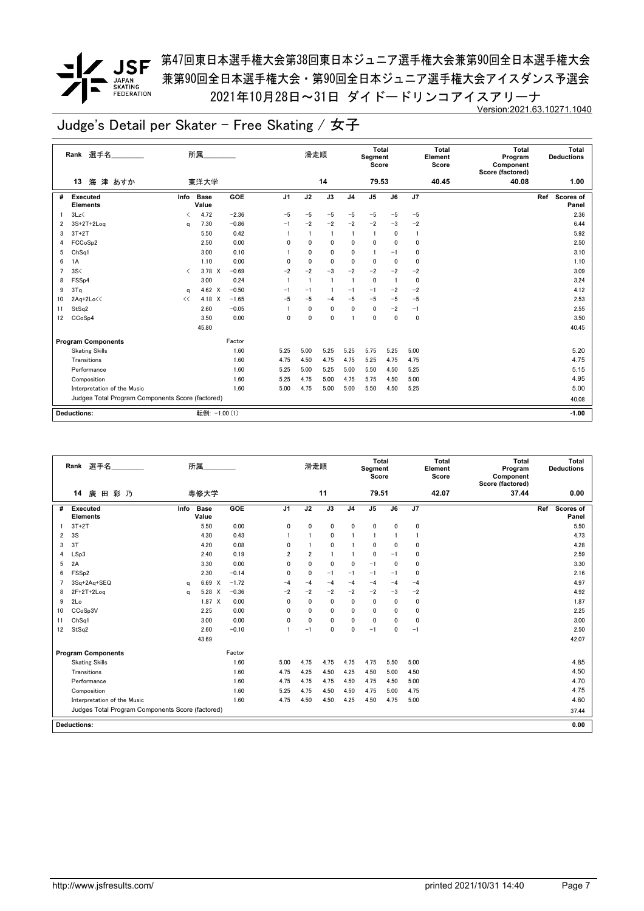### *▼* JSF <sup>第47回東日本選手権大会第38回東日本ジュニア選手権大会兼第90回全日本選手権大会</sup> 兼第90回全日本選手権大会・第90回全日本ジュニア選手権大会アイスダンス予選会 2021年10月28日~31日 ダイドードリンコアイスアリーナ Version:2021.63.10271.1040

|                | Rank 選手名                                         | 所属                                      |               |                | 滑走順          |                |                | Total<br>Segment<br>Score |      |              | Total<br>Element<br>Score | Total<br>Program<br>Component<br>Score (factored) | Total<br><b>Deductions</b> |
|----------------|--------------------------------------------------|-----------------------------------------|---------------|----------------|--------------|----------------|----------------|---------------------------|------|--------------|---------------------------|---------------------------------------------------|----------------------------|
|                | 海津 あすか<br>13                                     | 東洋大学                                    |               |                |              | 14             |                | 79.53                     |      |              | 40.45                     | 40.08                                             | 1.00                       |
| #              | <b>Executed</b><br>Info<br><b>Elements</b>       | <b>Base</b><br>Value                    | GOE           | J <sub>1</sub> | J2           | J3             | J <sub>4</sub> | $\mathsf{J}5$             | J6   | J7           |                           |                                                   | Ref<br>Scores of<br>Panel  |
|                | 3Lz                                              | 4.72<br>≺                               | $-2.36$       | $-5$           | $-5$         | $-5$           | $-5$           | $-5$                      | $-5$ | $-5$         |                           |                                                   | 2.36                       |
| 2              | 3S+2T+2Log                                       | 7.30<br>a                               | $-0.86$       | $-1$           | $-2$         | $-2$           | $-2$           | $-2$                      | $-3$ | $-2$         |                           |                                                   | 6.44                       |
| 3              | $3T+2T$                                          | 5.50                                    | 0.42          | $\mathbf{1}$   |              | $\mathbf{1}$   | 1              | $\overline{1}$            | 0    | $\mathbf{1}$ |                           |                                                   | 5.92                       |
| 4              | FCCoSp2                                          | 2.50                                    | 0.00          | 0              | 0            | $\mathbf 0$    | 0              | 0                         | 0    | 0            |                           |                                                   | 2.50                       |
| 5              | Ch <sub>Sq1</sub>                                | 3.00                                    | 0.10          |                | 0            | $\mathbf 0$    | 0              | $\mathbf{1}$              | $-1$ | 0            |                           |                                                   | 3.10                       |
| 6              | 1A                                               | 1.10                                    | 0.00          | 0              | 0            | 0              | 0              | 0                         | 0    | 0            |                           |                                                   | 1.10                       |
| $\overline{7}$ | 3S<                                              | 3.78 X<br>$\overline{\left( \right. }%$ | $-0.69$       | $-2$           | $-2$         | $-3$           | $-2$           | $-2$                      | $-2$ | $-2$         |                           |                                                   | 3.09                       |
| 8              | FSS <sub>p4</sub>                                | 3.00                                    | 0.24          | $\overline{1}$ | $\mathbf{1}$ | $\overline{1}$ | $\mathbf{1}$   | $\pmb{0}$                 |      | 0            |                           |                                                   | 3.24                       |
| 9              | 3Tq                                              | 4.62 $\times$<br>q                      | $-0.50$       | $-1$           | $-1$         | $\mathbf{1}$   | $-1$           | $-1$                      | $-2$ | $-2$         |                           |                                                   | 4.12                       |
| 10             | 2Aq+2Lo<<<br><<                                  | 4.18 X                                  | $-1.65$       | $-5$           | $-5$         | $-4$           | $-5$           | $-5$                      | $-5$ | $-5$         |                           |                                                   | 2.53                       |
| 11             | StSq2                                            | 2.60                                    | $-0.05$       |                | 0            | $\mathbf 0$    | $\mathbf 0$    | $\mathbf 0$               | $-2$ | $-1$         |                           |                                                   | 2.55                       |
| 12             | CCoSp4                                           | 3.50                                    | 0.00          | $\mathbf 0$    | 0            | $\mathbf 0$    | 1              | 0                         | 0    | $\mathbf 0$  |                           |                                                   | 3.50                       |
|                |                                                  | 45.80                                   |               |                |              |                |                |                           |      |              |                           |                                                   | 40.45                      |
|                | <b>Program Components</b>                        |                                         | Factor        |                |              |                |                |                           |      |              |                           |                                                   |                            |
|                | <b>Skating Skills</b>                            |                                         | 1.60          | 5.25           | 5.00         | 5.25           | 5.25           | 5.75                      | 5.25 | 5.00         |                           |                                                   | 5.20                       |
|                | Transitions                                      |                                         | 1.60          | 4.75           | 4.50         | 4.75           | 4.75           | 5.25                      | 4.75 | 4.75         |                           |                                                   | 4.75                       |
|                | Performance                                      |                                         | 1.60          | 5.25           | 5.00         | 5.25           | 5.00           | 5.50                      | 4.50 | 5.25         |                           |                                                   | 5.15                       |
|                | Composition                                      |                                         | 1.60          | 5.25           | 4.75         | 5.00           | 4.75           | 5.75                      | 4.50 | 5.00         |                           |                                                   | 4.95                       |
|                | Interpretation of the Music                      |                                         | 1.60          | 5.00           | 4.75         | 5.00           | 5.00           | 5.50                      | 4.50 | 5.25         |                           |                                                   | 5.00                       |
|                | Judges Total Program Components Score (factored) |                                         |               |                |              |                |                |                           |      |              |                           |                                                   | 40.08                      |
|                | <b>Deductions:</b>                               |                                         | 転倒: -1.00 (1) |                |              |                |                |                           |      |              |                           |                                                   | $-1.00$                    |
|                |                                                  |                                         |               |                |              |                |                |                           |      |              |                           |                                                   |                            |

|                | 選手名<br>Rank                                      |      | 所属                   |         |                | 滑走順            |              |                | <b>Total</b><br>Segment<br>Score |              |              | <b>Total</b><br>Element<br>Score | Total<br>Program<br>Component<br>Score (factored) | <b>Deductions</b>       | Total |
|----------------|--------------------------------------------------|------|----------------------|---------|----------------|----------------|--------------|----------------|----------------------------------|--------------|--------------|----------------------------------|---------------------------------------------------|-------------------------|-------|
|                | 彩乃<br>14<br>廣<br>田                               |      | 専修大学                 |         |                |                | 11           |                | 79.51                            |              |              | 42.07                            | 37.44                                             |                         | 0.00  |
| #              | <b>Executed</b><br><b>Elements</b>               | Info | <b>Base</b><br>Value | GOE     | J <sub>1</sub> | J2             | J3           | J <sub>4</sub> | J <sub>5</sub>                   | J6           | J7           |                                  |                                                   | <b>Scores of</b><br>Ref | Panel |
|                | $3T+2T$                                          |      | 5.50                 | 0.00    | 0              | 0              | 0            | $\mathbf{0}$   | 0                                | $\mathbf{0}$ | $\mathbf{0}$ |                                  |                                                   |                         | 5.50  |
| $\overline{2}$ | 3S                                               |      | 4.30                 | 0.43    |                |                | 0            |                | $\overline{1}$                   |              | -1           |                                  |                                                   |                         | 4.73  |
| 3              | 3T                                               |      | 4.20                 | 0.08    | 0              |                | $\mathbf 0$  |                | $\mathbf{0}$                     | $\Omega$     | $\mathbf{0}$ |                                  |                                                   |                         | 4.28  |
| 4              | LSp3                                             |      | 2.40                 | 0.19    | 2              | $\overline{2}$ | 1            |                | 0                                | $-1$         | 0            |                                  |                                                   |                         | 2.59  |
| 5              | 2A                                               |      | 3.30                 | 0.00    | 0              | 0              | $\mathbf{0}$ | $\mathbf{0}$   | $-1$                             | $\Omega$     | 0            |                                  |                                                   |                         | 3.30  |
| 6              | FSS <sub>p2</sub>                                |      | 2.30                 | $-0.14$ | 0              | 0              | $-1$         | $-1$           | $-1$                             | $-1$         | 0            |                                  |                                                   |                         | 2.16  |
|                | 3Sq+2Aq+SEQ                                      | a    | 6.69 X               | $-1.72$ | $-4$           | $-4$           | $-4$         | $-4$           | $-4$                             | $-4$         | $-4$         |                                  |                                                   |                         | 4.97  |
| 8              | $2F+2T+2Log$                                     | a    | 5.28 X               | $-0.36$ | $-2$           | $-2$           | $-2$         | $-2$           | $-2$                             | $-3$         | $-2$         |                                  |                                                   |                         | 4.92  |
| 9              | 2Lo                                              |      | 1.87 X               | 0.00    | 0              | $\mathbf{0}$   | 0            | $\mathbf{0}$   | 0                                | $\mathbf{0}$ | 0            |                                  |                                                   |                         | 1.87  |
| 10             | CCoSp3V                                          |      | 2.25                 | 0.00    | 0              | 0              | 0            | 0              | 0                                | 0            | 0            |                                  |                                                   |                         | 2.25  |
| 11             | Ch <sub>Sq1</sub>                                |      | 3.00                 | 0.00    | 0              | 0              | 0            | 0              | 0                                | $\mathbf{0}$ | 0            |                                  |                                                   |                         | 3.00  |
| 12             | StSq2                                            |      | 2.60                 | $-0.10$ |                | $-1$           | 0            | $\mathbf{0}$   | $-1$                             | 0            | $-1$         |                                  |                                                   |                         | 2.50  |
|                |                                                  |      | 43.69                |         |                |                |              |                |                                  |              |              |                                  |                                                   |                         | 42.07 |
|                | <b>Program Components</b>                        |      |                      | Factor  |                |                |              |                |                                  |              |              |                                  |                                                   |                         |       |
|                | <b>Skating Skills</b>                            |      |                      | 1.60    | 5.00           | 4.75           | 4.75         | 4.75           | 4.75                             | 5.50         | 5.00         |                                  |                                                   |                         | 4.85  |
|                | Transitions                                      |      |                      | 1.60    | 4.75           | 4.25           | 4.50         | 4.25           | 4.50                             | 5.00         | 4.50         |                                  |                                                   |                         | 4.50  |
|                | Performance                                      |      |                      | 1.60    | 4.75           | 4.75           | 4.75         | 4.50           | 4.75                             | 4.50         | 5.00         |                                  |                                                   |                         | 4.70  |
|                | Composition                                      |      |                      | 1.60    | 5.25           | 4.75           | 4.50         | 4.50           | 4.75                             | 5.00         | 4.75         |                                  |                                                   |                         | 4.75  |
|                | Interpretation of the Music                      |      |                      | 1.60    | 4.75           | 4.50           | 4.50         | 4.25           | 4.50                             | 4.75         | 5.00         |                                  |                                                   |                         | 4.60  |
|                | Judges Total Program Components Score (factored) |      |                      |         |                |                |              |                |                                  |              |              |                                  |                                                   |                         | 37.44 |
|                | <b>Deductions:</b>                               |      |                      |         |                |                |              |                |                                  |              |              |                                  |                                                   |                         | 0.00  |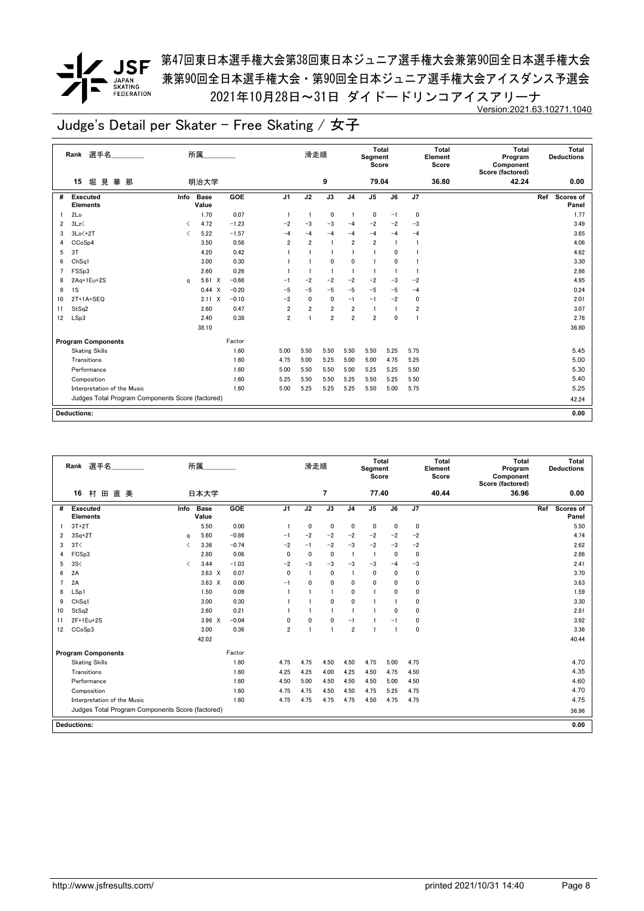# $\begin{array}{c} \nabla \cdot \mathbf{1} & \mathbf{1} & \mathbf{1} & \mathbf{1} & \mathbf{1} \\ \hline \mathbf{1} & \mathbf{1} & \mathbf{1} & \mathbf{1} & \mathbf{1} \\ \mathbf{1} & \mathbf{1} & \mathbf{1} & \mathbf{1} & \mathbf{1} \\ \mathbf{1} & \mathbf{1} & \mathbf{1} & \mathbf{1} & \mathbf{1} \\ \mathbf{1} & \mathbf{1} & \mathbf{1} & \mathbf{1} & \mathbf{1} \\ \mathbf{1} & \mathbf{1} & \mathbf{1} & \mathbf{1} & \$ JAPAN<br>SKATING<br>FEDERATION

### *▼* JSF <sup>第47回東日本選手権大会第38回東日本ジュニア選手権大会兼第90回全日本選手権大会</sup> 兼第90回全日本選手権大会・第90回全日本ジュニア選手権大会アイスダンス予選会 2021年10月28日~31日 ダイドードリンコアイスアリーナ Version:2021.63.10271.1040

|                | 選手名<br>Rank                                      |                          | 所属                   |            |                | 滑走順            |                 |                | Total<br>Segment<br>Score |                 |                | <b>Total</b><br>Element<br>Score | Total<br>Program<br>Component<br>Score (factored) |     | Total<br><b>Deductions</b> |
|----------------|--------------------------------------------------|--------------------------|----------------------|------------|----------------|----------------|-----------------|----------------|---------------------------|-----------------|----------------|----------------------------------|---------------------------------------------------|-----|----------------------------|
|                | 堀見華那<br>15                                       |                          | 明治大学                 |            |                |                | 9               |                | 79.04                     |                 |                | 36.80                            | 42.24                                             |     | 0.00                       |
| #              | Executed<br><b>Elements</b>                      | Info                     | <b>Base</b><br>Value | <b>GOE</b> | J <sub>1</sub> | J2             | $\overline{J3}$ | J <sub>4</sub> | $\overline{J5}$           | $\overline{J6}$ | J7             |                                  |                                                   | Ref | Scores of<br>Panel         |
| -1             | 2Lo                                              |                          | 1.70                 | 0.07       | $\overline{1}$ | -1             | $\mathbf 0$     | $\mathbf{1}$   | 0                         | $-1$            | 0              |                                  |                                                   |     | 1.77                       |
| $\overline{2}$ | 3Lz                                              | $\overline{\phantom{a}}$ | 4.72                 | $-1.23$    | $-2$           | $-3$           | $-3$            | $-4$           | $-2$                      | $-2$            | $-3$           |                                  |                                                   |     | 3.49                       |
| 3              | $3Lo < +2T$                                      | $\overline{\phantom{a}}$ | 5.22                 | $-1.57$    | $-4$           | $-4$           | $-4$            | $-4$           | $-4$                      | $-4$            | $-4$           |                                  |                                                   |     | 3.65                       |
| 4              | CCoSp4                                           |                          | 3.50                 | 0.56       | $\overline{2}$ | $\overline{2}$ | $\overline{1}$  | $\overline{2}$ | $\overline{2}$            | $\overline{1}$  | $\overline{1}$ |                                  |                                                   |     | 4.06                       |
| 5              | 3T                                               |                          | 4.20                 | 0.42       |                |                | $\mathbf{1}$    | 1              | 1                         | 0               |                |                                  |                                                   |     | 4.62                       |
| 6              | Ch <sub>Sq1</sub>                                |                          | 3.00                 | 0.30       |                |                | 0               | 0              | 1                         | 0               |                |                                  |                                                   |     | 3.30                       |
| $\overline{7}$ | FSSp3                                            |                          | 2.60                 | 0.26       |                |                | $\overline{1}$  | 1              | 1                         |                 |                |                                  |                                                   |     | 2.86                       |
| 8              | $2Aq+1Eu+2S$                                     | a                        | $5.61 \t X$          | $-0.66$    | $-1$           | $-2$           | $-2$            | $-2$           | $-2$                      | $-3$            | $-2$           |                                  |                                                   |     | 4.95                       |
| 9              | 1S                                               |                          | 0.44 X               | $-0.20$    | $-5$           | $-5$           | $-5$            | $-5$           | $-5$                      | $-5$            | $-4$           |                                  |                                                   |     | 0.24                       |
| 10             | $2T+1A+SEQ$                                      |                          | $2.11 \times$        | $-0.10$    | $-2$           | 0              | $\mathbf 0$     | $-1$           | $-1$                      | $-2$            | 0              |                                  |                                                   |     | 2.01                       |
| 11             | StSq2                                            |                          | 2.60                 | 0.47       | $\overline{2}$ | $\overline{2}$ | $\overline{2}$  | 2              |                           |                 | $\overline{2}$ |                                  |                                                   |     | 3.07                       |
| 12             | LSp3                                             |                          | 2.40                 | 0.38       | $\overline{2}$ |                | $\overline{2}$  | $\overline{2}$ | $\overline{2}$            | $\mathbf{0}$    |                |                                  |                                                   |     | 2.78                       |
|                |                                                  |                          | 38.10                |            |                |                |                 |                |                           |                 |                |                                  |                                                   |     | 36.80                      |
|                | <b>Program Components</b>                        |                          |                      | Factor     |                |                |                 |                |                           |                 |                |                                  |                                                   |     |                            |
|                | <b>Skating Skills</b>                            |                          |                      | 1.60       | 5.00           | 5.50           | 5.50            | 5.50           | 5.50                      | 5.25            | 5.75           |                                  |                                                   |     | 5.45                       |
|                | Transitions                                      |                          |                      | 1.60       | 4.75           | 5.00           | 5.25            | 5.00           | 5.00                      | 4.75            | 5.25           |                                  |                                                   |     | 5.00                       |
|                | Performance                                      |                          |                      | 1.60       | 5.00           | 5.50           | 5.50            | 5.00           | 5.25                      | 5.25            | 5.50           |                                  |                                                   |     | 5.30                       |
|                | Composition                                      |                          |                      | 1.60       | 5.25           | 5.50           | 5.50            | 5.25           | 5.50                      | 5.25            | 5.50           |                                  |                                                   |     | 5.40                       |
|                | Interpretation of the Music                      |                          |                      | 1.60       | 5.00           | 5.25           | 5.25            | 5.25           | 5.50                      | 5.00            | 5.75           |                                  |                                                   |     | 5.25                       |
|                | Judges Total Program Components Score (factored) |                          |                      |            |                |                |                 |                |                           |                 |                |                                  |                                                   |     | 42.24                      |
|                |                                                  |                          |                      |            |                |                |                 |                |                           |                 |                |                                  |                                                   |     |                            |
|                | <b>Deductions:</b>                               |                          |                      |            |                |                |                 |                |                           |                 |                |                                  |                                                   |     | 0.00                       |

|                | 選手名<br>Rank                                      |                               | 所属                   |         |                | 滑走順          |              |                | <b>Total</b><br>Segment<br>Score |              |              | <b>Total</b><br>Element<br>Score | <b>Total</b><br>Program<br>Component<br>Score (factored) | Total<br><b>Deductions</b> |
|----------------|--------------------------------------------------|-------------------------------|----------------------|---------|----------------|--------------|--------------|----------------|----------------------------------|--------------|--------------|----------------------------------|----------------------------------------------------------|----------------------------|
|                | 田直美<br>16<br>村                                   |                               | 日本大学                 |         |                |              | 7            |                | 77.40                            |              |              | 40.44                            | 36.96                                                    | 0.00                       |
| #              | Executed<br><b>Elements</b>                      | Info                          | <b>Base</b><br>Value | GOE     | J <sub>1</sub> | J2           | J3           | J <sub>4</sub> | J <sub>5</sub>                   | J6           | J7           |                                  |                                                          | Scores of<br>Ref<br>Panel  |
|                | $3T+2T$                                          |                               | 5.50                 | 0.00    |                | 0            | $\mathbf 0$  | 0              | 0                                | 0            | $\mathbf 0$  |                                  |                                                          | 5.50                       |
| 2              | $3Sq+2T$                                         | q                             | 5.60                 | $-0.86$ | $-1$           | $-2$         | $-2$         | $-2$           | $-2$                             | $-2$         | $-2$         |                                  |                                                          | 4.74                       |
| 3              | 3T<                                              | $\overline{\left( \right. }%$ | 3.36                 | $-0.74$ | $-2$           | $-1$         | $-2$         | $-3$           | $-2$                             | $-3$         | $-2$         |                                  |                                                          | 2.62                       |
| 4              | FCSp3                                            |                               | 2.80                 | 0.06    | 0              | $\mathbf{0}$ | $\mathbf{0}$ |                | -1                               | 0            | $\mathbf 0$  |                                  |                                                          | 2.86                       |
| 5              | 3S<                                              | $\overline{\left( \right. }%$ | 3.44                 | $-1.03$ | $-2$           | $-3$         | $-3$         | $-3$           | $-3$                             | $-4$         | $-3$         |                                  |                                                          | 2.41                       |
| 6              | 2A                                               |                               | $3.63 \times$        | 0.07    | 0              |              | $\mathbf{0}$ |                | $\mathbf 0$                      | 0            | $\mathbf 0$  |                                  |                                                          | 3.70                       |
| $\overline{7}$ | 2A                                               |                               | $3.63 \times$        | 0.00    | $-1$           | 0            | $\mathbf{0}$ | $\mathbf{0}$   | $\mathbf{0}$                     | $\mathbf{0}$ | 0            |                                  |                                                          | 3.63                       |
| 8              | LSp1                                             |                               | 1.50                 | 0.09    |                |              |              | $\mathbf{0}$   | $\overline{1}$                   | $\mathbf{0}$ | $\mathbf 0$  |                                  |                                                          | 1.59                       |
| 9              | ChSa1                                            |                               | 3.00                 | 0.30    |                |              | $\mathbf{0}$ | $\mathbf{0}$   |                                  |              | 0            |                                  |                                                          | 3.30                       |
| 10             | StSq2                                            |                               | 2.60                 | 0.21    |                |              |              | -1             | -1                               | $\Omega$     | $\mathbf 0$  |                                  |                                                          | 2.81                       |
| 11             | 2F+1Eu+2S                                        |                               | $3.96 \times$        | $-0.04$ | 0              | 0            | $\mathbf{0}$ | $-1$           |                                  | $-1$         | 0            |                                  |                                                          | 3.92                       |
| 12             | CC <sub>o</sub> S <sub>p</sub> 3                 |                               | 3.00                 | 0.36    | 2              | 1            |              | $\overline{2}$ | $\mathbf{1}$                     | -1           | $\mathbf{0}$ |                                  |                                                          | 3.36                       |
|                |                                                  |                               | 42.02                |         |                |              |              |                |                                  |              |              |                                  |                                                          | 40.44                      |
|                | <b>Program Components</b>                        |                               |                      | Factor  |                |              |              |                |                                  |              |              |                                  |                                                          |                            |
|                | <b>Skating Skills</b>                            |                               |                      | 1.60    | 4.75           | 4.75         | 4.50         | 4.50           | 4.75                             | 5.00         | 4.75         |                                  |                                                          | 4.70                       |
|                | Transitions                                      |                               |                      | 1.60    | 4.25           | 4.25         | 4.00         | 4.25           | 4.50                             | 4.75         | 4.50         |                                  |                                                          | 4.35                       |
|                | Performance                                      |                               |                      | 1.60    | 4.50           | 5.00         | 4.50         | 4.50           | 4.50                             | 5.00         | 4.50         |                                  |                                                          | 4.60                       |
|                | Composition                                      |                               |                      | 1.60    | 4.75           | 4.75         | 4.50         | 4.50           | 4.75                             | 5.25         | 4.75         |                                  |                                                          | 4.70                       |
|                | Interpretation of the Music                      |                               |                      | 1.60    | 4.75           | 4.75         | 4.75         | 4.75           | 4.50                             | 4.75         | 4.75         |                                  |                                                          | 4.75                       |
|                | Judges Total Program Components Score (factored) |                               |                      |         |                |              |              |                |                                  |              |              |                                  |                                                          | 36.96                      |
|                | <b>Deductions:</b>                               |                               |                      |         |                |              |              |                |                                  |              |              |                                  |                                                          | 0.00                       |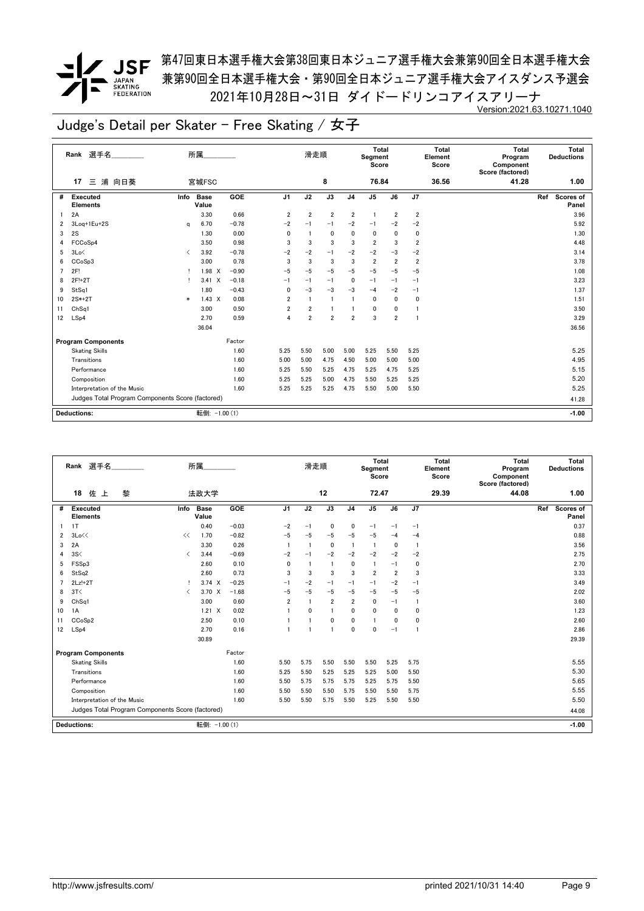

*▼* JSF <sup>第47回東日本選手権大会第38回東日本ジュニア選手権大会兼第90回全日本選手権大会</sup> 兼第90回全日本選手権大会・第90回全日本ジュニア選手権大会アイスダンス予選会 2021年10月28日~31日 ダイドードリンコアイスアリーナ Version:2021.63.10271.1040

|    | Rank 選手名                                         |                                          | 所属                   |         |                | 滑走順            |                |                | Total<br>Segment<br>Score |                |                         | Total<br>Element<br>Score | <b>Total</b><br>Program<br>Component<br>Score (factored) | Total<br><b>Deductions</b> |
|----|--------------------------------------------------|------------------------------------------|----------------------|---------|----------------|----------------|----------------|----------------|---------------------------|----------------|-------------------------|---------------------------|----------------------------------------------------------|----------------------------|
|    | 浦 向日葵<br>17<br>Ξ                                 |                                          | 宮城FSC                |         |                |                | 8              |                | 76.84                     |                |                         | 36.56                     | 41.28                                                    | 1.00                       |
| #  | Executed<br><b>Elements</b>                      | Info                                     | Base<br>Value        | GOE     | J <sub>1</sub> | J2             | J3             | J <sub>4</sub> | J <sub>5</sub>            | J6             | J7                      |                           |                                                          | Ref<br>Scores of<br>Panel  |
|    | 2A                                               |                                          | 3.30                 | 0.66    | $\overline{2}$ | $\overline{2}$ | $\overline{2}$ | $\overline{2}$ | -1                        | $\overline{2}$ | $\overline{2}$          |                           |                                                          | 3.96                       |
| 2  | 3Log+1Eu+2S                                      | q                                        | 6.70                 | $-0.78$ | $-2$           | $-1$           | $-1$           | $-2$           | $-1$                      | $-2$           | $-2$                    |                           |                                                          | 5.92                       |
| 3  | 2S                                               |                                          | 1.30                 | 0.00    | $\mathbf{0}$   | $\mathbf{1}$   | 0              | 0              | 0                         | 0              | 0                       |                           |                                                          | 1.30                       |
| 4  | FCC <sub>o</sub> S <sub>p4</sub>                 |                                          | 3.50                 | 0.98    | 3              | 3              | 3              | 3              | $\overline{2}$            | 3              | $\overline{\mathbf{2}}$ |                           |                                                          | 4.48                       |
| 5  | 3Lo<                                             | $\overline{\left\langle \right\rangle }$ | 3.92                 | $-0.78$ | -2             | $-2$           | $-1$           | $-2$           | $-2$                      | $-3$           | $-2$                    |                           |                                                          | 3.14                       |
| 6  | CC <sub>o</sub> S <sub>p</sub> 3                 |                                          | 3.00                 | 0.78    | 3              | 3              | 3              | 3              | $\overline{2}$            | $\overline{2}$ | $\overline{2}$          |                           |                                                          | 3.78                       |
|    | 2F!                                              |                                          | $1.98 \times$        | $-0.90$ | $-5$           | $-5$           | $-5$           | $-5$           | $-5$                      | $-5$           | $-5$                    |                           |                                                          | 1.08                       |
| 8  | 2F!+2T                                           |                                          | 3.41<br>$\mathsf{X}$ | $-0.18$ | $-1$           | $-1$           | $-1$           | 0              | $-1$                      | $-1$           | $-1$                    |                           |                                                          | 3.23                       |
| 9  | StSq1                                            |                                          | 1.80                 | $-0.43$ | $\mathbf 0$    | $-3$           | $-3$           | $-3$           | $-4$                      | $-2$           | $-1$                    |                           |                                                          | 1.37                       |
| 10 | 2S*+2T                                           | $\ast$                                   | $1.43 \times$        | 0.08    | 2              | $\mathbf{1}$   | $\overline{1}$ |                | 0                         | 0              | $\mathbf 0$             |                           |                                                          | 1.51                       |
| 11 | Ch <sub>Sq1</sub>                                |                                          | 3.00                 | 0.50    | $\overline{2}$ | $\overline{2}$ |                |                | 0                         | 0              |                         |                           |                                                          | 3.50                       |
| 12 | LSp4                                             |                                          | 2.70                 | 0.59    | $\overline{4}$ | $\overline{2}$ | $\overline{2}$ | $\overline{2}$ | 3                         | $\overline{2}$ |                         |                           |                                                          | 3.29                       |
|    |                                                  |                                          | 36.04                |         |                |                |                |                |                           |                |                         |                           |                                                          | 36.56                      |
|    | <b>Program Components</b>                        |                                          |                      | Factor  |                |                |                |                |                           |                |                         |                           |                                                          |                            |
|    | <b>Skating Skills</b>                            |                                          |                      | 1.60    | 5.25           | 5.50           | 5.00           | 5.00           | 5.25                      | 5.50           | 5.25                    |                           |                                                          | 5.25                       |
|    | Transitions                                      |                                          |                      | 1.60    | 5.00           | 5.00           | 4.75           | 4.50           | 5.00                      | 5.00           | 5.00                    |                           |                                                          | 4.95                       |
|    | Performance                                      |                                          |                      | 1.60    | 5.25           | 5.50           | 5.25           | 4.75           | 5.25                      | 4.75           | 5.25                    |                           |                                                          | 5.15                       |
|    | Composition                                      |                                          |                      | 1.60    | 5.25           | 5.25           | 5.00           | 4.75           | 5.50                      | 5.25           | 5.25                    |                           |                                                          | 5.20                       |
|    | Interpretation of the Music                      |                                          |                      | 1.60    | 5.25           | 5.25           | 5.25           | 4.75           | 5.50                      | 5.00           | 5.50                    |                           |                                                          | 5.25                       |
|    | Judges Total Program Components Score (factored) |                                          |                      |         |                |                |                |                |                           |                |                         |                           |                                                          | 41.28                      |
|    | <b>Deductions:</b>                               |                                          | 転倒: -1.00 (1)        |         |                |                |                |                |                           |                |                         |                           |                                                          | $-1.00$                    |

|                | 選手名<br>Rank                                      |                               | 所属                   |         |                | 滑走順                     |                |                | Total<br>Segment<br>Score |                |                | <b>Total</b><br>Element<br>Score | <b>Total</b><br>Program<br>Component<br>Score (factored) | Total<br><b>Deductions</b> |
|----------------|--------------------------------------------------|-------------------------------|----------------------|---------|----------------|-------------------------|----------------|----------------|---------------------------|----------------|----------------|----------------------------------|----------------------------------------------------------|----------------------------|
|                | 18<br>佐上<br>黎                                    |                               | 法政大学                 |         |                |                         | 12             |                | 72.47                     |                |                | 29.39                            | 44.08                                                    | 1.00                       |
| #              | Executed<br><b>Elements</b>                      | Info                          | <b>Base</b><br>Value | GOE     | J <sub>1</sub> | J2                      | J3             | J <sub>4</sub> | J <sub>5</sub>            | J6             | J7             |                                  |                                                          | Scores of<br>Ref<br>Panel  |
|                | 1T                                               |                               | 0.40                 | $-0.03$ | $-2$           | $-1$                    | $\mathbf{0}$   | $\mathbf{0}$   | $-1$                      | $-1$           | $-1$           |                                  |                                                          | 0.37                       |
| $\overline{2}$ | 3Lo<<                                            | <<                            | 1.70                 | $-0.82$ | $-5$           | $-5$                    | $-5$           | $-5$           | $-5$                      | $-4$           | $-4$           |                                  |                                                          | 0.88                       |
| 3              | 2A                                               |                               | 3.30                 | 0.26    | $\overline{1}$ | $\overline{1}$          | $\mathbf 0$    | $\overline{1}$ | $\overline{1}$            | $\mathbf{0}$   | $\overline{1}$ |                                  |                                                          | 3.56                       |
| 4              | 3S<                                              | $\langle$                     | 3.44                 | $-0.69$ | $-2$           | $-1$                    | $-2$           | $-2$           | $-2$                      | $-2$           | $-2$           |                                  |                                                          | 2.75                       |
| 5              | FSSp3                                            |                               | 2.60                 | 0.10    | 0              | $\overline{\mathbf{1}}$ | $\blacksquare$ | $\mathbf{0}$   | $\mathbf{1}$              | $-1$           | 0              |                                  |                                                          | 2.70                       |
| 6              | StSq2                                            |                               | 2.60                 | 0.73    | 3              | 3                       | 3              | 3              | $\overline{2}$            | $\overline{2}$ | 3              |                                  |                                                          | 3.33                       |
| $\overline{ }$ | $2Lz!+2T$                                        | Ţ                             | $3.74 \times$        | $-0.25$ | $-1$           | -2                      | $-1$           | $-1$           | $-1$                      | $-2$           | $-1$           |                                  |                                                          | 3.49                       |
| 8              | 3T<                                              | $\overline{\left( \right. }%$ | 3.70 X               | $-1.68$ | $-5$           | $-5$                    | $-5$           | $-5$           | $-5$                      | $-5$           | $-5$           |                                  |                                                          | 2.02                       |
| 9              | Ch <sub>Sq1</sub>                                |                               | 3.00                 | 0.60    | $\overline{2}$ | $\overline{\mathbf{1}}$ | $\overline{2}$ | $\overline{2}$ | 0                         | $-1$           | $\mathbf{1}$   |                                  |                                                          | 3.60                       |
| 10             | 1A                                               |                               | $1.21 \times$        | 0.02    |                | 0                       |                | 0              | 0                         | 0              | 0              |                                  |                                                          | 1.23                       |
| 11             | CCoSp2                                           |                               | 2.50                 | 0.10    |                |                         | 0              | 0              | 1                         | 0              | 0              |                                  |                                                          | 2.60                       |
| 12             | LSp4                                             |                               | 2.70                 | 0.16    |                |                         | $\mathbf{1}$   | $\mathbf{0}$   | 0                         | $-1$           | $\mathbf{1}$   |                                  |                                                          | 2.86                       |
|                |                                                  |                               | 30.89                |         |                |                         |                |                |                           |                |                |                                  |                                                          | 29.39                      |
|                | <b>Program Components</b>                        |                               |                      | Factor  |                |                         |                |                |                           |                |                |                                  |                                                          |                            |
|                | <b>Skating Skills</b>                            |                               |                      | 1.60    | 5.50           | 5.75                    | 5.50           | 5.50           | 5.50                      | 5.25           | 5.75           |                                  |                                                          | 5.55                       |
|                | Transitions                                      |                               |                      | 1.60    | 5.25           | 5.50                    | 5.25           | 5.25           | 5.25                      | 5.00           | 5.50           |                                  |                                                          | 5.30                       |
|                | Performance                                      |                               |                      | 1.60    | 5.50           | 5.75                    | 5.75           | 5.75           | 5.25                      | 5.75           | 5.50           |                                  |                                                          | 5.65                       |
|                | Composition                                      |                               |                      | 1.60    | 5.50           | 5.50                    | 5.50           | 5.75           | 5.50                      | 5.50           | 5.75           |                                  |                                                          | 5.55                       |
|                | Interpretation of the Music                      |                               |                      | 1.60    | 5.50           | 5.50                    | 5.75           | 5.50           | 5.25                      | 5.50           | 5.50           |                                  |                                                          | 5.50                       |
|                | Judges Total Program Components Score (factored) |                               |                      |         |                |                         |                |                |                           |                |                |                                  |                                                          | 44.08                      |
|                | <b>Deductions:</b>                               |                               | 転倒: -1.00 (1)        |         |                |                         |                |                |                           |                |                |                                  |                                                          | $-1.00$                    |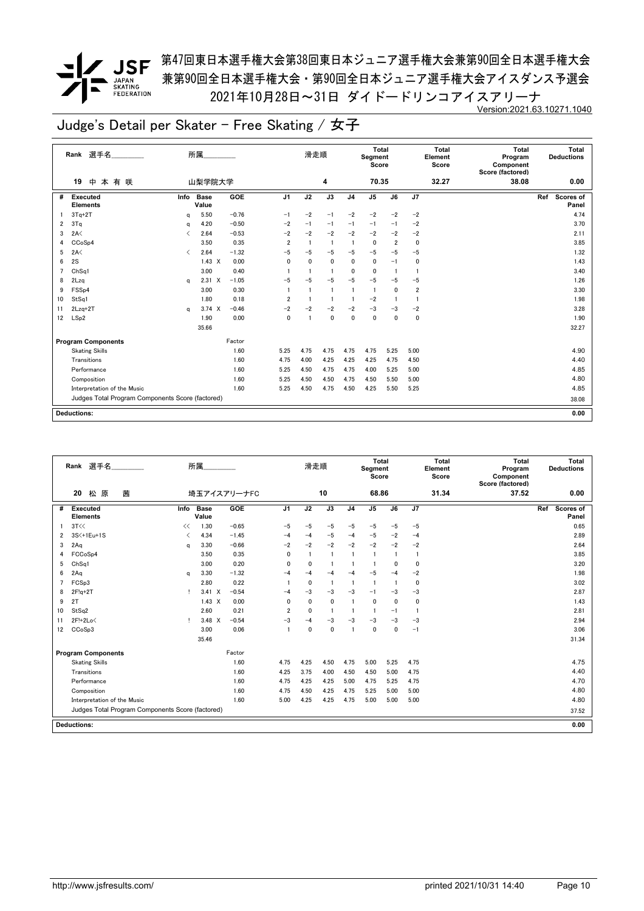# $\begin{array}{c} \begin{array}{c} \text{1} \end{array} \\ \begin{array}{c} \text{2} \end{array} \end{array}$ JAPAN<br>SKATING<br>FEDERATION

### **/ JSF** 第<sup>47</sup>回東日本選手権大会第38回東日本ジュニア選手権大会兼第90回全日本選手権大会 兼第90回全日本選手権大会・第90回全日本ジュニア選手権大会アイスダンス予選会 2021年10月28日~31日 ダイドードリンコアイスアリーナ Version:2021.63.10271.1040

|    | 選手名<br>Rank                                      |                                          | 所属                   |            |                | 滑走順  |                 |                | <b>Total</b><br>Segment<br>Score |                |                         | <b>Total</b><br>Element<br>Score | <b>Total</b><br>Program<br>Component<br>Score (factored) | Total<br><b>Deductions</b> |
|----|--------------------------------------------------|------------------------------------------|----------------------|------------|----------------|------|-----------------|----------------|----------------------------------|----------------|-------------------------|----------------------------------|----------------------------------------------------------|----------------------------|
|    | 19<br>中<br>本有咲                                   |                                          | 山梨学院大学               |            |                |      | 4               |                | 70.35                            |                |                         | 32.27                            | 38.08                                                    | 0.00                       |
| #  | <b>Executed</b><br><b>Elements</b>               | Info                                     | <b>Base</b><br>Value | <b>GOE</b> | J <sub>1</sub> | J2   | $\overline{J3}$ | J <sub>4</sub> | $\overline{J5}$                  | J6             | J7                      |                                  |                                                          | Ref<br>Scores of<br>Panel  |
|    | $3Tq+2T$                                         | a                                        | 5.50                 | $-0.76$    | $-1$           | $-2$ | $-1$            | $-2$           | $-2$                             | $-2$           | $-2$                    |                                  |                                                          | 4.74                       |
| 2  | 3Tq                                              | a                                        | 4.20                 | $-0.50$    | $-2$           | $-1$ | $-1$            | $-1$           | $-1$                             | $-1$           | $-2$                    |                                  |                                                          | 3.70                       |
| 3  | 2A<                                              | ✓                                        | 2.64                 | $-0.53$    | $-2$           | $-2$ | $-2$            | $-2$           | $-2$                             | $-2$           | $-2$                    |                                  |                                                          | 2.11                       |
| 4  | CCoSp4                                           |                                          | 3.50                 | 0.35       | $\overline{2}$ | -1   | $\overline{1}$  | -1             | 0                                | $\overline{2}$ | $\pmb{0}$               |                                  |                                                          | 3.85                       |
| 5  | 2A<                                              | $\overline{\left\langle \right\rangle }$ | 2.64                 | $-1.32$    | $-5$           | $-5$ | $-5$            | $-5$           | $-5$                             | $-5$           | $-5$                    |                                  |                                                          | 1.32                       |
| 6  | 2S                                               |                                          | $1.43 \times$        | 0.00       | 0              | 0    | $\mathbf 0$     | 0              | 0                                | $-1$           | 0                       |                                  |                                                          | 1.43                       |
| 7  | ChSq1                                            |                                          | 3.00                 | 0.40       |                |      | $\mathbf{1}$    | 0              | 0                                | $\mathbf{1}$   | $\mathbf{1}$            |                                  |                                                          | 3.40                       |
| 8  | 2Lzq                                             | a                                        | $2.31 \t X$          | $-1.05$    | $-5$           | $-5$ | $-5$            | $-5$           | $-5$                             | -5             | $-5$                    |                                  |                                                          | 1.26                       |
| 9  | FSS <sub>p4</sub>                                |                                          | 3.00                 | 0.30       |                |      | $\mathbf{1}$    | 1              | $\overline{1}$                   | 0              | $\overline{\mathbf{2}}$ |                                  |                                                          | 3.30                       |
| 10 | StSq1                                            |                                          | 1.80                 | 0.18       | $\overline{2}$ |      | $\mathbf{1}$    | 1              | $-2$                             |                | $\overline{1}$          |                                  |                                                          | 1.98                       |
| 11 | $2Lzq+2T$                                        | a                                        | $3.74 \times$        | $-0.46$    | $-2$           | $-2$ | $-2$            | $-2$           | $-3$                             | $-3$           | $-2$                    |                                  |                                                          | 3.28                       |
| 12 | LSp2                                             |                                          | 1.90                 | 0.00       | $\mathbf{0}$   |      | $\mathbf{0}$    | 0              | $\mathbf 0$                      | 0              | 0                       |                                  |                                                          | 1.90                       |
|    |                                                  |                                          | 35.66                |            |                |      |                 |                |                                  |                |                         |                                  |                                                          | 32.27                      |
|    | <b>Program Components</b>                        |                                          |                      | Factor     |                |      |                 |                |                                  |                |                         |                                  |                                                          |                            |
|    | <b>Skating Skills</b>                            |                                          |                      | 1.60       | 5.25           | 4.75 | 4.75            | 4.75           | 4.75                             | 5.25           | 5.00                    |                                  |                                                          | 4.90                       |
|    | Transitions                                      |                                          |                      | 1.60       | 4.75           | 4.00 | 4.25            | 4.25           | 4.25                             | 4.75           | 4.50                    |                                  |                                                          | 4.40                       |
|    | Performance                                      |                                          |                      | 1.60       | 5.25           | 4.50 | 4.75            | 4.75           | 4.00                             | 5.25           | 5.00                    |                                  |                                                          | 4.85                       |
|    | Composition                                      |                                          |                      | 1.60       | 5.25           | 4.50 | 4.50            | 4.75           | 4.50                             | 5.50           | 5.00                    |                                  |                                                          | 4.80                       |
|    | Interpretation of the Music                      |                                          |                      | 1.60       | 5.25           | 4.50 | 4.75            | 4.50           | 4.25                             | 5.50           | 5.25                    |                                  |                                                          | 4.85                       |
|    | Judges Total Program Components Score (factored) |                                          |                      |            |                |      |                 |                |                                  |                |                         |                                  |                                                          | 38.08                      |
|    | <b>Deductions:</b>                               |                                          |                      |            |                |      |                 |                |                                  |                |                         |                                  |                                                          | 0.00                       |

|    | 選手名<br>Rank                                      |                               | 所属                   |             |                | 滑走順          |              |                | <b>Total</b><br>Segment<br>Score |              |                | <b>Total</b><br>Element<br>Score | <b>Total</b><br>Program<br>Component<br>Score (factored) | Total<br><b>Deductions</b>       |
|----|--------------------------------------------------|-------------------------------|----------------------|-------------|----------------|--------------|--------------|----------------|----------------------------------|--------------|----------------|----------------------------------|----------------------------------------------------------|----------------------------------|
|    | 20<br>松原<br>茜                                    |                               |                      | 埼玉アイスアリーナFC |                |              | 10           |                | 68.86                            |              |                | 31.34                            | 37.52                                                    | 0.00                             |
| #  | Executed<br><b>Elements</b>                      | Info                          | <b>Base</b><br>Value | GOE         | J <sub>1</sub> | J2           | J3           | J <sub>4</sub> | J <sub>5</sub>                   | J6           | J <sub>7</sub> |                                  |                                                          | Ref<br><b>Scores of</b><br>Panel |
|    | 3T<<                                             | <<                            | 1.30                 | $-0.65$     | $-5$           | $-5$         | $-5$         | $-5$           | $-5$                             | $-5$         | $-5$           |                                  |                                                          | 0.65                             |
| 2  | 3S<+1Eu+1S                                       | $\overline{\left( \right. }%$ | 4.34                 | $-1.45$     | $-4$           | $-4$         | $-5$         | $-4$           | $-5$                             | $-2$         | $-4$           |                                  |                                                          | 2.89                             |
| 3  | 2Aq                                              | a                             | 3.30                 | $-0.66$     | $-2$           | $-2$         | $-2$         | $-2$           | $-2$                             | $-2$         | $-2$           |                                  |                                                          | 2.64                             |
| 4  | FCCoSp4                                          |                               | 3.50                 | 0.35        | 0              | $\mathbf{1}$ |              |                | $\mathbf{1}$                     |              | 1              |                                  |                                                          | 3.85                             |
| 5  | Ch <sub>Sq1</sub>                                |                               | 3.00                 | 0.20        | 0              | $\mathbf{0}$ |              |                | $\mathbf{1}$                     | $\Omega$     | $\mathbf{0}$   |                                  |                                                          | 3.20                             |
| 6  | 2Aq                                              | a                             | 3.30                 | $-1.32$     | $-4$           | $-4$         | $-4$         | $-4$           | $-5$                             | $-4$         | $-2$           |                                  |                                                          | 1.98                             |
| 7  | FCSp3                                            |                               | 2.80                 | 0.22        |                | $\mathbf{0}$ |              |                | $\overline{1}$                   | -1           | $\mathbf 0$    |                                  |                                                          | 3.02                             |
| 8  | $2F!q+2T$                                        |                               | $3.41 \times$        | $-0.54$     | $-4$           | $-3$         | -3           | $-3$           | $-1$                             | $-3$         | $-3$           |                                  |                                                          | 2.87                             |
| 9  | 2T                                               |                               | $1.43 \times$        | 0.00        | 0              | 0            | $\mathbf{0}$ |                | $\mathbf 0$                      | 0            | $\mathbf 0$    |                                  |                                                          | 1.43                             |
| 10 | StSq2                                            |                               | 2.60                 | 0.21        | $\overline{2}$ | 0            |              |                | $\mathbf{1}$                     | $-1$         | $\mathbf{1}$   |                                  |                                                          | 2.81                             |
| 11 | 2F!+2Lo<                                         | л.                            | $3.48 \times$        | $-0.54$     | $-3$           | $-4$         | -3           | $-3$           | $-3$                             | $-3$         | $-3$           |                                  |                                                          | 2.94                             |
| 12 | CC <sub>o</sub> S <sub>p</sub> 3                 |                               | 3.00                 | 0.06        |                | 0            | $\mathbf{0}$ |                | $\mathbf{0}$                     | $\mathbf{0}$ | $-1$           |                                  |                                                          | 3.06                             |
|    |                                                  |                               | 35.46                |             |                |              |              |                |                                  |              |                |                                  |                                                          | 31.34                            |
|    | <b>Program Components</b>                        |                               |                      | Factor      |                |              |              |                |                                  |              |                |                                  |                                                          |                                  |
|    | <b>Skating Skills</b>                            |                               |                      | 1.60        | 4.75           | 4.25         | 4.50         | 4.75           | 5.00                             | 5.25         | 4.75           |                                  |                                                          | 4.75                             |
|    | Transitions                                      |                               |                      | 1.60        | 4.25           | 3.75         | 4.00         | 4.50           | 4.50                             | 5.00         | 4.75           |                                  |                                                          | 4.40                             |
|    | Performance                                      |                               |                      | 1.60        | 4.75           | 4.25         | 4.25         | 5.00           | 4.75                             | 5.25         | 4.75           |                                  |                                                          | 4.70                             |
|    | Composition                                      |                               |                      | 1.60        | 4.75           | 4.50         | 4.25         | 4.75           | 5.25                             | 5.00         | 5.00           |                                  |                                                          | 4.80                             |
|    | Interpretation of the Music                      |                               |                      | 1.60        | 5.00           | 4.25         | 4.25         | 4.75           | 5.00                             | 5.00         | 5.00           |                                  |                                                          | 4.80                             |
|    | Judges Total Program Components Score (factored) |                               |                      |             |                |              |              |                |                                  |              |                |                                  |                                                          | 37.52                            |
|    | <b>Deductions:</b>                               |                               |                      |             |                |              |              |                |                                  |              |                |                                  |                                                          | 0.00                             |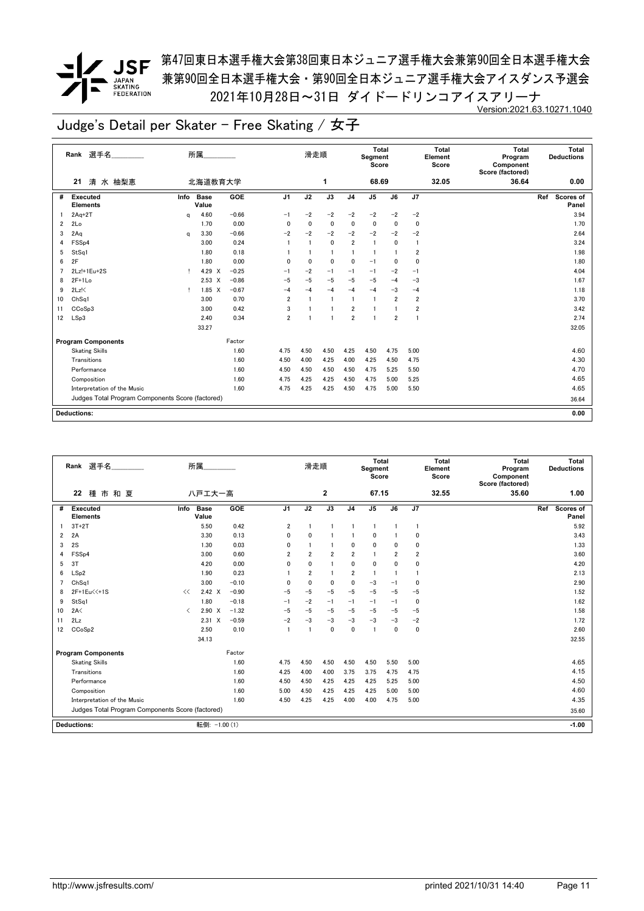### *▼* JSF <sup>第47回東日本選手権大会第38回東日本ジュニア選手権大会兼第90回全日本選手権大会</sup> 兼第90回全日本選手権大会・第90回全日本ジュニア選手権大会アイスダンス予選会 2021年10月28日~31日 ダイドードリンコアイスアリーナ Version:2021.63.10271.1040

|    | 選手名<br>Rank                                      |      | 所属             |            |                | 滑走順  |                 |                         | Total<br>Segment<br>Score |                 |                         | Total<br>Element<br>Score | Total<br>Program<br>Component<br>Score (factored) | Total<br><b>Deductions</b> |
|----|--------------------------------------------------|------|----------------|------------|----------------|------|-----------------|-------------------------|---------------------------|-----------------|-------------------------|---------------------------|---------------------------------------------------|----------------------------|
|    | 清 水 柚梨恵<br>21                                    |      | 北海道教育大学        |            |                |      | 1               |                         | 68.69                     |                 |                         | 32.05                     | 36.64                                             | 0.00                       |
| #  | <b>Executed</b><br><b>Elements</b>               | Info | Base<br>Value  | <b>GOE</b> | J <sub>1</sub> | J2   | $\overline{J3}$ | J <sub>4</sub>          | J <sub>5</sub>            | $\overline{J6}$ | J7                      |                           |                                                   | Ref<br>Scores of<br>Panel  |
|    | $2Aq+2T$                                         | q    | 4.60           | $-0.66$    | $-1$           | $-2$ | $-2$            | $-2$                    | $-2$                      | $-2$            | $-2$                    |                           |                                                   | 3.94                       |
| 2  | 2Lo                                              |      | 1.70           | 0.00       | $\Omega$       | 0    | $\mathbf 0$     | $\mathbf{0}$            | 0                         | $\mathbf{0}$    | $\mathbf 0$             |                           |                                                   | 1.70                       |
| 3  | 2Aq                                              | q    | 3.30           | $-0.66$    | $-2$           | $-2$ | $-2$            | $-2$                    | $-2$                      | $-2$            | $-2$                    |                           |                                                   | 2.64                       |
| 4  | FSS <sub>p4</sub>                                |      | 3.00           | 0.24       | $\mathbf{1}$   | 1    | $\mathbf 0$     | $\overline{\mathbf{2}}$ | $\overline{1}$            | 0               | -1                      |                           |                                                   | 3.24                       |
| 5  | StSq1                                            |      | 1.80           | 0.18       |                |      | $\mathbf{1}$    | 1                       | -1                        |                 | $\overline{2}$          |                           |                                                   | 1.98                       |
| 6  | 2F                                               |      | 1.80           | 0.00       | $\Omega$       | 0    | $\mathbf 0$     | $\mathbf{0}$            | $-1$                      | $\mathbf{0}$    | 0                       |                           |                                                   | 1.80                       |
|    | 2Lz!+1Eu+2S                                      | Ţ.   | 4.29 X         | $-0.25$    | $-1$           | $-2$ | $-1$            | $-1$                    | $-1$                      | $-2$            | $-1$                    |                           |                                                   | 4.04                       |
| 8  | $2F+1Lo$                                         |      | $2.53 \times$  | $-0.86$    | $-5$           | $-5$ | $-5$            | $-5$                    | $-5$                      | $-4$            | $-3$                    |                           |                                                   | 1.67                       |
| 9  | $2Lz$ !                                          | л.   | $1.85 \quad X$ | $-0.67$    | $-4$           | $-4$ | $-4$            | $-4$                    | $-4$                      | $-3$            | $-4$                    |                           |                                                   | 1.18                       |
| 10 | Ch <sub>Sq1</sub>                                |      | 3.00           | 0.70       | $\overline{2}$ |      | $\mathbf{1}$    | $\mathbf{1}$            | $\overline{1}$            | $\overline{2}$  | $\overline{2}$          |                           |                                                   | 3.70                       |
| 11 | CCoSp3                                           |      | 3.00           | 0.42       | 3              |      |                 | $\overline{2}$          |                           |                 | $\overline{\mathbf{2}}$ |                           |                                                   | 3.42                       |
| 12 | LSp3                                             |      | 2.40           | 0.34       | $\overline{2}$ |      | -1              | $\overline{2}$          |                           | $\overline{2}$  |                         |                           |                                                   | 2.74                       |
|    |                                                  |      | 33.27          |            |                |      |                 |                         |                           |                 |                         |                           |                                                   | 32.05                      |
|    | <b>Program Components</b>                        |      |                | Factor     |                |      |                 |                         |                           |                 |                         |                           |                                                   |                            |
|    | <b>Skating Skills</b>                            |      |                | 1.60       | 4.75           | 4.50 | 4.50            | 4.25                    | 4.50                      | 4.75            | 5.00                    |                           |                                                   | 4.60                       |
|    | Transitions                                      |      |                | 1.60       | 4.50           | 4.00 | 4.25            | 4.00                    | 4.25                      | 4.50            | 4.75                    |                           |                                                   | 4.30                       |
|    | Performance                                      |      |                | 1.60       | 4.50           | 4.50 | 4.50            | 4.50                    | 4.75                      | 5.25            | 5.50                    |                           |                                                   | 4.70                       |
|    | Composition                                      |      |                | 1.60       | 4.75           | 4.25 | 4.25            | 4.50                    | 4.75                      | 5.00            | 5.25                    |                           |                                                   | 4.65                       |
|    | Interpretation of the Music                      |      |                | 1.60       | 4.75           | 4.25 | 4.25            | 4.50                    | 4.75                      | 5.00            | 5.50                    |                           |                                                   | 4.65                       |
|    | Judges Total Program Components Score (factored) |      |                |            |                |      |                 |                         |                           |                 |                         |                           |                                                   | 36.64                      |
|    |                                                  |      |                |            |                |      |                 |                         |                           |                 |                         |                           |                                                   |                            |
|    | Deductions:                                      |      |                |            |                |      |                 |                         |                           |                 |                         |                           |                                                   | 0.00                       |

|                | 選手名<br>Rank                                      |                               | 所属                   |         |                | 滑走順            |                |                | Total<br>Segment<br>Score |                |                | <b>Total</b><br>Element<br>Score | Total<br>Program<br>Component<br>Score (factored) | Total<br><b>Deductions</b> |
|----------------|--------------------------------------------------|-------------------------------|----------------------|---------|----------------|----------------|----------------|----------------|---------------------------|----------------|----------------|----------------------------------|---------------------------------------------------|----------------------------|
|                | 22<br>種市和夏                                       |                               | 八戸エ大一高               |         |                |                | $\mathbf{2}$   |                | 67.15                     |                |                | 32.55                            | 35.60                                             | 1.00                       |
| #              | <b>Executed</b><br><b>Elements</b>               | Info                          | <b>Base</b><br>Value | GOE     | J <sub>1</sub> | J2             | J3             | J <sub>4</sub> | J <sub>5</sub>            | J6             | J7             |                                  |                                                   | Scores of<br>Ref<br>Panel  |
|                | $3T+2T$                                          |                               | 5.50                 | 0.42    | 2              |                | 1              |                | $\mathbf{1}$              | -1             | $\mathbf{1}$   |                                  |                                                   | 5.92                       |
| 2              | 2A                                               |                               | 3.30                 | 0.13    | 0              | 0              |                |                | 0                         |                | 0              |                                  |                                                   | 3.43                       |
| 3              | 2S                                               |                               | 1.30                 | 0.03    | 0              |                | $\blacksquare$ | $\mathbf{0}$   | 0                         | $\Omega$       | 0              |                                  |                                                   | 1.33                       |
| 4              | FSS <sub>p4</sub>                                |                               | 3.00                 | 0.60    | $\overline{2}$ | $\overline{2}$ | $\overline{2}$ | $\overline{2}$ | $\mathbf{1}$              | $\overline{2}$ | $\overline{2}$ |                                  |                                                   | 3.60                       |
| 5              | 3T                                               |                               | 4.20                 | 0.00    | 0              | 0              | 1              | $\mathbf{0}$   | 0                         | $\mathbf 0$    | 0              |                                  |                                                   | 4.20                       |
| 6              | LSp2                                             |                               | 1.90                 | 0.23    |                | $\overline{2}$ | 1              | $\overline{2}$ | $\mathbf{1}$              |                | $\mathbf{1}$   |                                  |                                                   | 2.13                       |
| $\overline{7}$ | ChSa1                                            |                               | 3.00                 | $-0.10$ | 0              | 0              | $\mathbf 0$    | $\mathbf{0}$   | -3                        | $-1$           | 0              |                                  |                                                   | 2.90                       |
| 8              | 2F+1Eu<<+1S                                      | <<                            | $2.42 \times$        | $-0.90$ | $-5$           | $-5$           | $-5$           | $-5$           | $-5$                      | $-5$           | $-5$           |                                  |                                                   | 1.52                       |
| 9              | StSq1                                            |                               | 1.80                 | $-0.18$ | $-1$           | $-2$           | $-1$           | $-1$           | $-1$                      | $-1$           | 0              |                                  |                                                   | 1.62                       |
| 10             | 2A<                                              | $\overline{\left( \right. }%$ | $2.90 \t X$          | $-1.32$ | $-5$           | $-5$           | $-5$           | $-5$           | $-5$                      | $-5$           | $-5$           |                                  |                                                   | 1.58                       |
| 11             | 2Lz                                              |                               | $2.31 \t X$          | $-0.59$ | $-2$           | $-3$           | $-3$           | $-3$           | $-3$                      | $-3$           | $-2$           |                                  |                                                   | 1.72                       |
| 12             | CCoSp2                                           |                               | 2.50                 | 0.10    | $\mathbf{1}$   | 1              | $\mathbf{0}$   | $\mathbf{0}$   | -1                        | $\mathbf{0}$   | 0              |                                  |                                                   | 2.60                       |
|                |                                                  |                               | 34.13                |         |                |                |                |                |                           |                |                |                                  |                                                   | 32.55                      |
|                | <b>Program Components</b>                        |                               |                      | Factor  |                |                |                |                |                           |                |                |                                  |                                                   |                            |
|                | <b>Skating Skills</b>                            |                               |                      | 1.60    | 4.75           | 4.50           | 4.50           | 4.50           | 4.50                      | 5.50           | 5.00           |                                  |                                                   | 4.65                       |
|                | Transitions                                      |                               |                      | 1.60    | 4.25           | 4.00           | 4.00           | 3.75           | 3.75                      | 4.75           | 4.75           |                                  |                                                   | 4.15                       |
|                | Performance                                      |                               |                      | 1.60    | 4.50           | 4.50           | 4.25           | 4.25           | 4.25                      | 5.25           | 5.00           |                                  |                                                   | 4.50                       |
|                | Composition                                      |                               |                      | 1.60    | 5.00           | 4.50           | 4.25           | 4.25           | 4.25                      | 5.00           | 5.00           |                                  |                                                   | 4.60                       |
|                | Interpretation of the Music                      |                               |                      | 1.60    | 4.50           | 4.25           | 4.25           | 4.00           | 4.00                      | 4.75           | 5.00           |                                  |                                                   | 4.35                       |
|                | Judges Total Program Components Score (factored) |                               |                      |         |                |                |                |                |                           |                |                |                                  |                                                   | 35.60                      |
|                | <b>Deductions:</b>                               |                               | 転倒: -1.00 (1)        |         |                |                |                |                |                           |                |                |                                  |                                                   | $-1.00$                    |